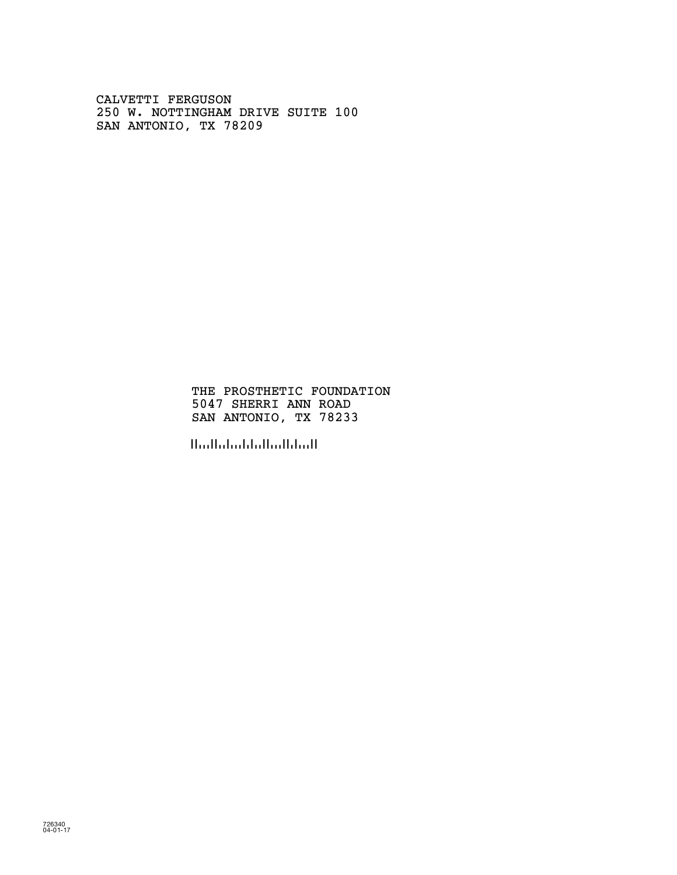CALVETTI FERGUSON 250 W. NOTTINGHAM DRIVE SUITE 100 SAN ANTONIO, TX 78209

> THE PROSTHETIC FOUNDATION 5047 SHERRI ANN ROAD SAN ANTONIO, TX 78233

!782337!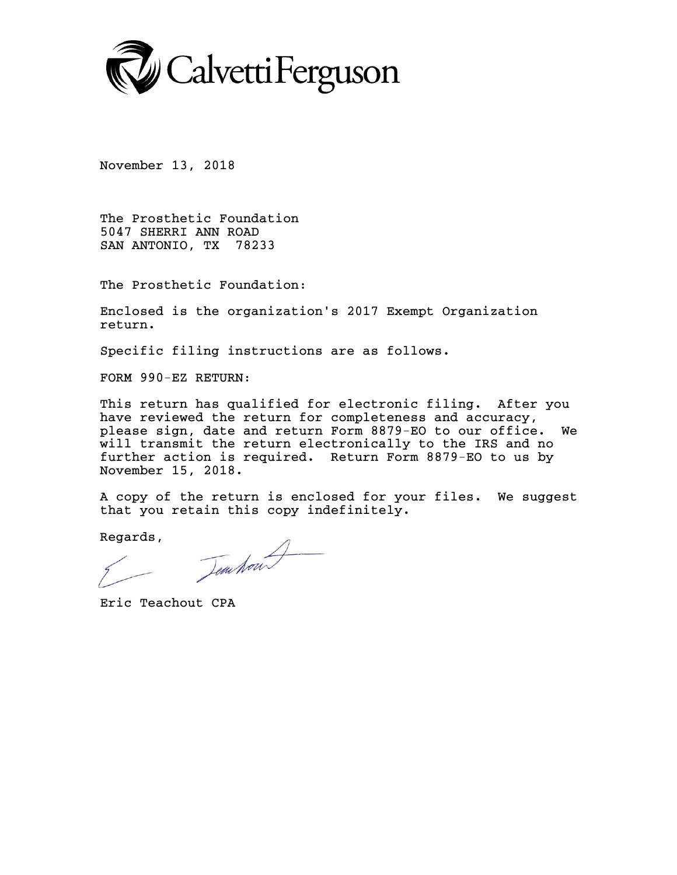

November 13, 2018

The Prosthetic Foundation 5047 SHERRI ANN ROAD SAN ANTONIO, TX 78233

The Prosthetic Foundation:

Enclosed is the organization's 2017 Exempt Organization return.

Specific filing instructions are as follows.

FORM 990-EZ RETURN:

This return has qualified for electronic filing. After you have reviewed the return for completeness and accuracy, please sign, date and return Form 8879-EO to our office. We will transmit the return electronically to the IRS and no further action is required. Return Form 8879-EO to us by November 15, 2018.

A copy of the return is enclosed for your files. We suggest that you retain this copy indefinitely.

Regards,

Dem hour

Eric Teachout CPA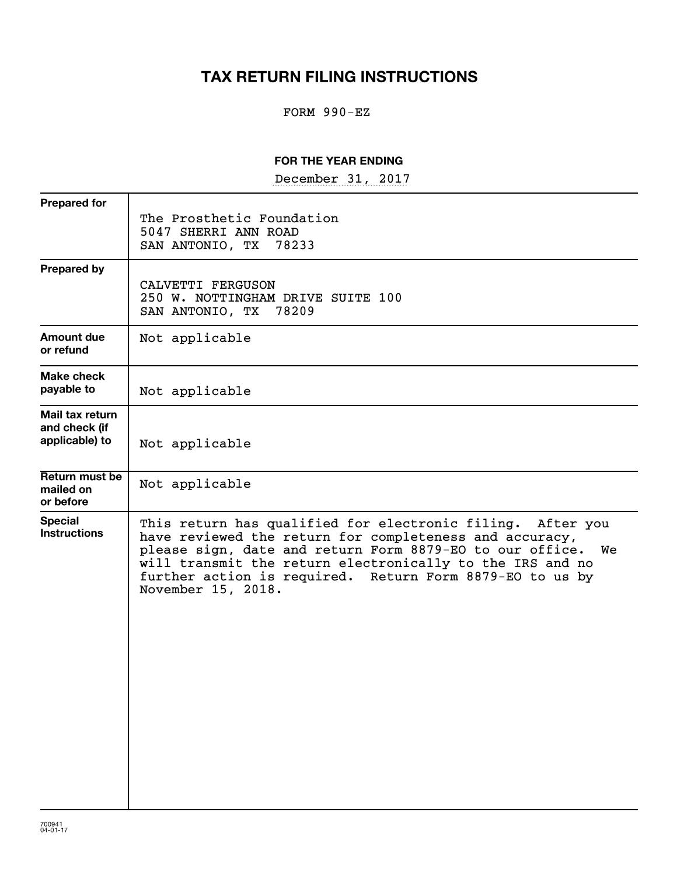## **TAX RETURN FILING INSTRUCTIONS**

### FORM 990-EZ

### **FOR THE YEAR ENDING**

December 31, 2017

| The Prosthetic Foundation<br>5047 SHERRI ANN ROAD<br>SAN ANTONIO, TX 78233                                                                                                                                                                                                                                                          |
|-------------------------------------------------------------------------------------------------------------------------------------------------------------------------------------------------------------------------------------------------------------------------------------------------------------------------------------|
| CALVETTI FERGUSON<br>250 W. NOTTINGHAM DRIVE SUITE 100<br>SAN ANTONIO, TX 78209                                                                                                                                                                                                                                                     |
| Not applicable                                                                                                                                                                                                                                                                                                                      |
| Not applicable                                                                                                                                                                                                                                                                                                                      |
| Not applicable                                                                                                                                                                                                                                                                                                                      |
| Not applicable                                                                                                                                                                                                                                                                                                                      |
| This return has qualified for electronic filing. After you<br>have reviewed the return for completeness and accuracy,<br>please sign, date and return Form 8879-EO to our office. We<br>will transmit the return electronically to the IRS and no<br>further action is required. Return Form 8879-EO to us by<br>November 15, 2018. |
|                                                                                                                                                                                                                                                                                                                                     |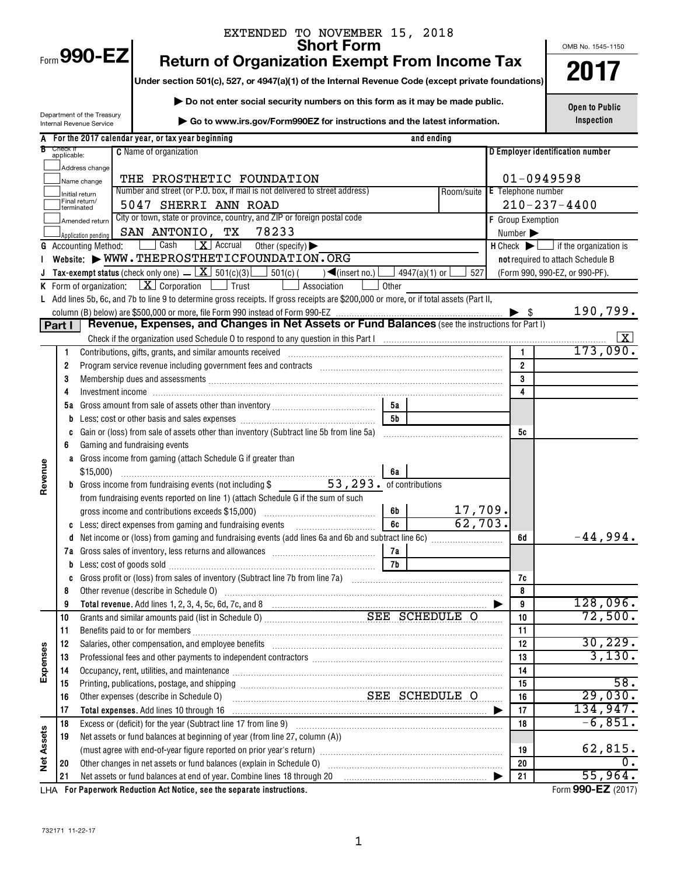|            |                         |                                                        | EXTENDED TO NOVEMBER 15, 2018                                                                                                                                                                                                        |          |                 |                               |                          |                                                                                                    |
|------------|-------------------------|--------------------------------------------------------|--------------------------------------------------------------------------------------------------------------------------------------------------------------------------------------------------------------------------------------|----------|-----------------|-------------------------------|--------------------------|----------------------------------------------------------------------------------------------------|
|            |                         | Form 990-EZ                                            | <b>Short Form</b>                                                                                                                                                                                                                    |          |                 |                               |                          | OMB No. 1545-1150                                                                                  |
|            |                         |                                                        | <b>Return of Organization Exempt From Income Tax</b>                                                                                                                                                                                 |          |                 |                               |                          | 2017                                                                                               |
|            |                         |                                                        | Under section 501(c), 527, or 4947(a)(1) of the Internal Revenue Code (except private foundations)                                                                                                                                   |          |                 |                               |                          |                                                                                                    |
|            |                         |                                                        | Do not enter social security numbers on this form as it may be made public.                                                                                                                                                          |          |                 |                               |                          | <b>Open to Public</b>                                                                              |
|            |                         | Department of the Treasury<br>Internal Revenue Service | Go to www.irs.gov/Form990EZ for instructions and the latest information.                                                                                                                                                             |          |                 |                               |                          | Inspection                                                                                         |
|            |                         |                                                        | A For the 2017 calendar year, or tax year beginning                                                                                                                                                                                  |          | and ending      |                               |                          |                                                                                                    |
|            | Check if<br>applicable: |                                                        | <b>C</b> Name of organization                                                                                                                                                                                                        |          |                 |                               |                          | D Employer identification number                                                                   |
|            |                         | Address change                                         |                                                                                                                                                                                                                                      |          |                 |                               |                          |                                                                                                    |
|            |                         | Name change                                            | THE PROSTHETIC FOUNDATION                                                                                                                                                                                                            |          |                 |                               |                          | $01 - 0949598$                                                                                     |
|            |                         | Initial return<br>Final return/                        | Number and street (or P.O. box, if mail is not delivered to street address)                                                                                                                                                          |          |                 | Room/suite E Telephone number |                          |                                                                                                    |
|            |                         | terminated                                             | 5047 SHERRI ANN ROAD                                                                                                                                                                                                                 |          |                 |                               |                          | $210 - 237 - 4400$                                                                                 |
|            |                         | Amended return                                         | City or town, state or province, country, and ZIP or foreign postal code                                                                                                                                                             |          |                 |                               | F Group Exemption        |                                                                                                    |
|            |                         | Application pendinc                                    | SAN ANTONIO, TX 78233<br>$\boxed{\mathbf{X}}$ Accrual<br>  Cash                                                                                                                                                                      |          |                 |                               | Number                   |                                                                                                    |
|            |                         | <b>G</b> Accounting Method:                            | Other (specify) $\blacktriangleright$<br>Website: WWW.THEPROSTHETICFOUNDATION.ORG                                                                                                                                                    |          |                 |                               |                          | $H$ Check $\blacktriangleright$ $\Box$ if the organization is<br>not required to attach Schedule B |
|            |                         |                                                        | <b>Tax-exempt status</b> (check only one) $\boxed{\mathbf{X}}$ 501(c)(3) $\boxed{\phantom{0}}$ 501(c) (<br>$\sqrt{\frac{2}{\pi}}$ (insert no.)                                                                                       |          | 4947(a)(1) or [ | 527                           |                          | (Form 990, 990-EZ, or 990-PF).                                                                     |
|            |                         |                                                        | <b>K</b> Form of organization: $X \cdot \text{Corporation}$ $\Box$ Trust<br>Association                                                                                                                                              | Other    |                 |                               |                          |                                                                                                    |
|            |                         |                                                        | L Add lines 5b, 6c, and 7b to line 9 to determine gross receipts. If gross receipts are \$200,000 or more, or if total assets (Part II,                                                                                              |          |                 |                               |                          |                                                                                                    |
|            |                         |                                                        |                                                                                                                                                                                                                                      |          |                 |                               | $\blacktriangleright$ \$ | 190,799.                                                                                           |
|            | Part I                  |                                                        | Revenue, Expenses, and Changes in Net Assets or Fund Balances (see the instructions for Part I)                                                                                                                                      |          |                 |                               |                          |                                                                                                    |
|            |                         |                                                        |                                                                                                                                                                                                                                      |          |                 |                               |                          |                                                                                                    |
|            | 1                       |                                                        | Contributions, gifts, grants, and similar amounts received encontractional contributions, gifts, grants, and similar amounts received encontractional control of the state of the state of the state of the state of the state       |          |                 |                               |                          | 173,090.                                                                                           |
|            | 2                       |                                                        |                                                                                                                                                                                                                                      |          |                 |                               | $\overline{2}$           |                                                                                                    |
|            | 3                       |                                                        | Membership dues and assessments [111] Martin Martin Martin Martin Martin Martin Martin Martin Martin Martin Ma                                                                                                                       |          |                 |                               | $\overline{\mathbf{3}}$  |                                                                                                    |
|            | 4                       |                                                        |                                                                                                                                                                                                                                      |          |                 |                               | $\overline{4}$           |                                                                                                    |
|            |                         |                                                        |                                                                                                                                                                                                                                      | 5а<br>5b |                 |                               |                          |                                                                                                    |
|            | C                       |                                                        |                                                                                                                                                                                                                                      |          |                 |                               | 5c                       |                                                                                                    |
|            | 6                       |                                                        | Gaming and fundraising events                                                                                                                                                                                                        |          |                 |                               |                          |                                                                                                    |
|            |                         |                                                        | a Gross income from gaming (attach Schedule G if greater than                                                                                                                                                                        |          |                 |                               |                          |                                                                                                    |
|            |                         | $$15,000$ )                                            |                                                                                                                                                                                                                                      | 6а       |                 |                               |                          |                                                                                                    |
| Revenue    |                         |                                                        | <b>b</b> Gross income from fundraising events (not including \$ 53, 293. of contributions                                                                                                                                            |          |                 |                               |                          |                                                                                                    |
|            |                         |                                                        | from fundraising events reported on line 1) (attach Schedule G if the sum of such                                                                                                                                                    |          |                 |                               |                          |                                                                                                    |
|            |                         |                                                        |                                                                                                                                                                                                                                      | 6b       |                 | 17,709.                       |                          |                                                                                                    |
|            |                         |                                                        | <b>c</b> Less: direct expenses from gaming and fundraising events                                                                                                                                                                    | 6c       |                 | 62,703.                       |                          |                                                                                                    |
|            | d                       |                                                        |                                                                                                                                                                                                                                      |          |                 |                               | 6d                       | $-44,994.$                                                                                         |
|            |                         |                                                        |                                                                                                                                                                                                                                      | 7а       |                 |                               |                          |                                                                                                    |
|            | b                       |                                                        | Less: cost of goods sold with an array and a final solution of the solution of the state of goods sold                                                                                                                               | 7b       |                 |                               |                          |                                                                                                    |
|            | c<br>8                  |                                                        |                                                                                                                                                                                                                                      |          |                 |                               | 7c<br>8                  |                                                                                                    |
|            | 9                       |                                                        | Other revenue (describe in Schedule O) <i>manual contract contract contract contract contract contract contract contract contract contract contract contract contract contract contract contract contract contract contract cont</i> |          |                 |                               | 9                        | 128,096.                                                                                           |
|            | 10                      |                                                        |                                                                                                                                                                                                                                      |          |                 |                               | 10                       | 72,500.                                                                                            |
|            | 11                      |                                                        |                                                                                                                                                                                                                                      |          |                 |                               | 11                       |                                                                                                    |
|            | 12                      |                                                        | Salaries, other compensation, and employee benefits [11] manufactures in the comparison of the compensation, and employee benefits [11] manufactures in the compensation and employee benefits [11] manufactures in the compet       |          |                 |                               | 12                       | 30, 229.                                                                                           |
| Expenses   | 13                      |                                                        |                                                                                                                                                                                                                                      |          |                 |                               | 13                       | 3,130.                                                                                             |
|            | 14                      |                                                        | Occupancy, rent, utilities, and maintenance manufactured and according term of the manufacture of the manufacture                                                                                                                    |          |                 |                               | 14                       |                                                                                                    |
|            | 15                      |                                                        |                                                                                                                                                                                                                                      |          |                 |                               | 15                       | 58.                                                                                                |
|            | 16                      |                                                        | SEE SCHEDULE O<br>Other expenses (describe in Schedule O)                                                                                                                                                                            |          |                 |                               | 16                       | 29,030.                                                                                            |
|            | 17                      |                                                        | Total expenses. Add lines 10 through 16                                                                                                                                                                                              |          |                 |                               | 17                       | 134,947.                                                                                           |
|            | 18                      |                                                        |                                                                                                                                                                                                                                      |          |                 |                               | 18                       | $-6,851.$                                                                                          |
| Net Assets | 19                      |                                                        | Net assets or fund balances at beginning of year (from line 27, column (A))                                                                                                                                                          |          |                 |                               |                          | 62,815.                                                                                            |
|            | 20                      |                                                        | (must agree with end-of-year figure reported on prior year's return) [[[[[[[[[[[[[[[[[[[[[]]]]]]]]]]                                                                                                                                 |          |                 |                               | 19<br>20                 | $\mathbf 0$ .                                                                                      |
|            | 21                      |                                                        | Net assets or fund balances at end of year. Combine lines 18 through 20 [11] [20] [11] [11] [11] Net assets or fund balances at end of year. Combine lines 18 through 20                                                             |          |                 |                               | 21                       | 55,964.                                                                                            |
|            |                         |                                                        | surado Deduction, Ast Notice, nee the concrete instructions                                                                                                                                                                          |          |                 |                               |                          | $F_{\text{arm}}$ 000 E7 (9017)                                                                     |

**For Paperwork Reduction Act Notice, see the separate instructions.** LHA Form (2017)

**990-EZ**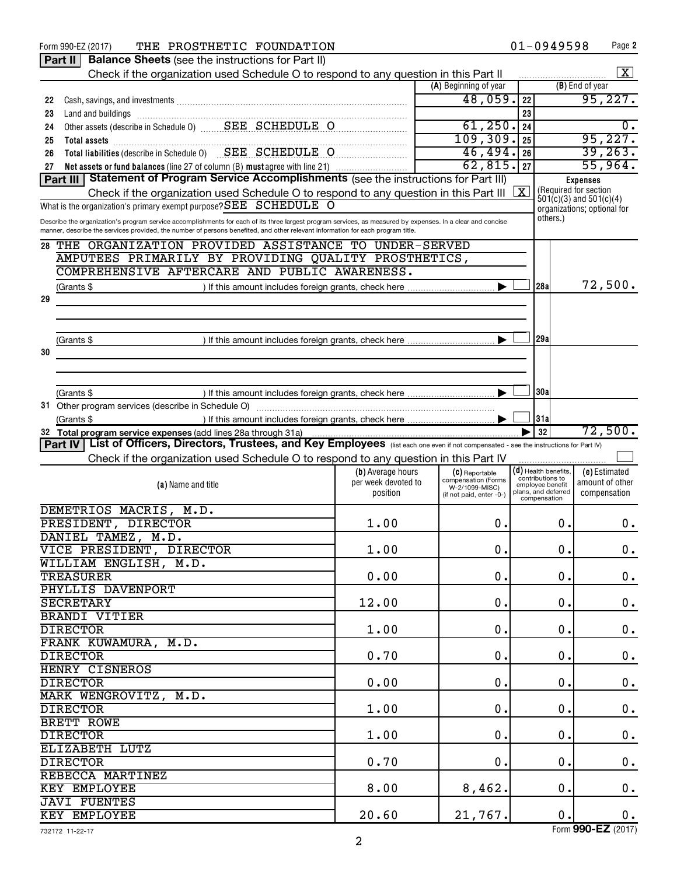|    | $01 - 0949598$<br>THE PROSTHETIC FOUNDATION<br>Page 2<br>Form 990-EZ (2017)                                                                                                                                                         |                     |                                       |            |                                                      |                 |                             |  |
|----|-------------------------------------------------------------------------------------------------------------------------------------------------------------------------------------------------------------------------------------|---------------------|---------------------------------------|------------|------------------------------------------------------|-----------------|-----------------------------|--|
|    | <b>Balance Sheets (see the instructions for Part II)</b><br>Part II                                                                                                                                                                 |                     |                                       |            |                                                      |                 |                             |  |
|    | Check if the organization used Schedule O to respond to any question in this Part II                                                                                                                                                |                     |                                       |            |                                                      |                 | $\mathbf{X}$                |  |
|    |                                                                                                                                                                                                                                     |                     | (A) Beginning of year                 |            |                                                      | (B) End of year |                             |  |
| 22 | Cash, savings, and investments [11, 12] and the contract of the cash, savings, and investments [11, 12] and the cash of the cash of the cash of the cash of the cash of the cash of the cash of the cash of the cash of the ca      |                     | 48,059.                               | 22         |                                                      | 95,227.         |                             |  |
| 23 |                                                                                                                                                                                                                                     |                     |                                       | 23         |                                                      |                 |                             |  |
| 24 | Other assets (describe in Schedule 0) ________ SEE __ SCHEDULE __ O                                                                                                                                                                 |                     | 61, 250.                              | 24         |                                                      |                 | 0.                          |  |
| 25 | Total assets <b>communications</b> and all the contract of the contract of the contract of the contract of the contract of the contract of the contract of the contract of the contract of the contract of the contract of the cont |                     | 109,309.                              | 25         |                                                      | 95,227.         |                             |  |
| 26 | Total liabilities (describe in Schedule 0) SEE SCHEDULE O                                                                                                                                                                           |                     | 46,494.                               | 26         |                                                      | 39, 263.        |                             |  |
| 27 | Net assets or fund balances (line 27 of column (B) must agree with line 21)                                                                                                                                                         |                     | 62,815.                               | 27         |                                                      | 55,964.         |                             |  |
|    | Part III Statement of Program Service Accomplishments (see the instructions for Part III)                                                                                                                                           |                     |                                       |            |                                                      | <b>Expenses</b> |                             |  |
|    | Check if the organization used Schedule O to respond to any question in this Part III                                                                                                                                               |                     |                                       | $\sqrt{X}$ | (Required for section<br>$501(c)(3)$ and $501(c)(4)$ |                 |                             |  |
|    | What is the organization's primary exempt purpose? $\overline{\text{SEE}}$ SCHEDULE O                                                                                                                                               |                     |                                       |            |                                                      |                 | organizations; optional for |  |
|    | Describe the organization's program service accomplishments for each of its three largest program services, as measured by expenses. In a clear and concise                                                                         |                     |                                       |            | others.)                                             |                 |                             |  |
|    | manner, describe the services provided, the number of persons benefited, and other relevant information for each program title.                                                                                                     |                     |                                       |            |                                                      |                 |                             |  |
| 28 | THE ORGANIZATION PROVIDED ASSISTANCE TO UNDER-SERVED                                                                                                                                                                                |                     |                                       |            |                                                      |                 |                             |  |
|    | AMPUTEES PRIMARILY BY PROVIDING QUALITY PROSTHETICS,                                                                                                                                                                                |                     |                                       |            |                                                      |                 |                             |  |
|    | COMPREHENSIVE AFTERCARE AND PUBLIC AWARENESS.                                                                                                                                                                                       |                     |                                       |            |                                                      |                 |                             |  |
|    | (Grants \$                                                                                                                                                                                                                          |                     |                                       |            | 128al                                                | 72,500.         |                             |  |
| 29 |                                                                                                                                                                                                                                     |                     |                                       |            |                                                      |                 |                             |  |
|    |                                                                                                                                                                                                                                     |                     |                                       |            |                                                      |                 |                             |  |
|    |                                                                                                                                                                                                                                     |                     |                                       |            |                                                      |                 |                             |  |
|    | (Grants \$                                                                                                                                                                                                                          |                     |                                       |            | 29a                                                  |                 |                             |  |
| 30 |                                                                                                                                                                                                                                     |                     |                                       |            |                                                      |                 |                             |  |
|    |                                                                                                                                                                                                                                     |                     |                                       |            |                                                      |                 |                             |  |
|    |                                                                                                                                                                                                                                     |                     |                                       |            |                                                      |                 |                             |  |
|    | (Grants \$                                                                                                                                                                                                                          |                     |                                       |            | 30a                                                  |                 |                             |  |
|    |                                                                                                                                                                                                                                     |                     |                                       |            |                                                      |                 |                             |  |
|    | (Grants \$                                                                                                                                                                                                                          |                     |                                       |            | 31a                                                  |                 |                             |  |
|    | 32 Total program service expenses (add lines 28a through 31a)                                                                                                                                                                       |                     |                                       |            | 32                                                   |                 | 72,500.                     |  |
|    | Part IV   List of Officers, Directors, Trustees, and Key Employees (list each one even if not compensated - see the instructions for Part IV)                                                                                       |                     |                                       |            |                                                      |                 |                             |  |
|    | Check if the organization used Schedule O to respond to any question in this Part IV                                                                                                                                                |                     |                                       |            |                                                      |                 |                             |  |
|    |                                                                                                                                                                                                                                     | (b) Average hours   | (C) Reportable                        |            | $(\mathsf{d})$ Health benefits,                      | (e) Estimated   |                             |  |
|    | (a) Name and title                                                                                                                                                                                                                  | per week devoted to | compensation (Forms<br>W-2/1099-MISC) |            | contributions to<br>employee benefit                 | amount of other |                             |  |
|    |                                                                                                                                                                                                                                     | position            | (if not paid, enter -0-)              |            | plans, and deferred<br>compensation                  | compensation    |                             |  |
|    | DEMETRIOS MACRIS, M.D.                                                                                                                                                                                                              |                     |                                       |            |                                                      |                 |                             |  |
|    | PRESIDENT, DIRECTOR                                                                                                                                                                                                                 | 1.00                | 0.                                    |            | 0.                                                   |                 | $0$ .                       |  |
|    | DANIEL TAMEZ, M.D.                                                                                                                                                                                                                  |                     |                                       |            |                                                      |                 |                             |  |
|    | VICE PRESIDENT, DIRECTOR                                                                                                                                                                                                            | 1.00                | $0$ .                                 |            | 0.                                                   |                 | 0.                          |  |
|    | WILLIAM ENGLISH, M.D.                                                                                                                                                                                                               |                     |                                       |            |                                                      |                 |                             |  |
|    | <b>TREASURER</b>                                                                                                                                                                                                                    | 0.00                | $\mathbf 0$ .                         |            | $\mathbf 0$ .                                        |                 | 0.                          |  |
|    | PHYLLIS DAVENPORT                                                                                                                                                                                                                   |                     |                                       |            |                                                      |                 |                             |  |
|    | <b>SECRETARY</b>                                                                                                                                                                                                                    | 12.00               | $\mathbf 0$ .                         |            | 0.                                                   |                 | $\boldsymbol{0}$ .          |  |
|    | <b>BRANDI VITIER</b>                                                                                                                                                                                                                |                     |                                       |            |                                                      |                 |                             |  |
|    | <b>DIRECTOR</b>                                                                                                                                                                                                                     | 1.00                | $\mathbf 0$ .                         |            | $\mathbf 0$ .                                        |                 | $\boldsymbol{0}$ .          |  |
|    | FRANK KUWAMURA, M.D.                                                                                                                                                                                                                |                     |                                       |            |                                                      |                 |                             |  |
|    | <b>DIRECTOR</b>                                                                                                                                                                                                                     | 0.70                | $\mathbf 0$ .                         |            | $\mathbf 0$ .                                        |                 | $\boldsymbol{0}$ .          |  |
|    | <b>HENRY CISNEROS</b>                                                                                                                                                                                                               |                     |                                       |            |                                                      |                 |                             |  |
|    | <b>DIRECTOR</b>                                                                                                                                                                                                                     | 0.00                | $0$ .                                 |            | $\mathbf 0$ .                                        |                 | $\boldsymbol{0}$ .          |  |
|    | MARK WENGROVITZ, M.D.                                                                                                                                                                                                               |                     |                                       |            |                                                      |                 |                             |  |
|    | <b>DIRECTOR</b>                                                                                                                                                                                                                     | 1.00                | $\mathbf 0$ .                         |            | 0.                                                   |                 | $\boldsymbol{0}$ .          |  |
|    | BRETT ROWE                                                                                                                                                                                                                          |                     |                                       |            |                                                      |                 |                             |  |
|    | <b>DIRECTOR</b>                                                                                                                                                                                                                     | 1.00                | 0.                                    |            | $\mathbf 0$ .                                        |                 | $\boldsymbol{0}$ .          |  |
|    | ELIZABETH LUTZ                                                                                                                                                                                                                      |                     |                                       |            |                                                      |                 |                             |  |
|    | <b>DIRECTOR</b>                                                                                                                                                                                                                     | 0.70                | 0.                                    |            | 0.                                                   |                 |                             |  |
|    |                                                                                                                                                                                                                                     |                     |                                       |            |                                                      |                 | $\boldsymbol{0}$ .          |  |
|    | REBECCA MARTINEZ                                                                                                                                                                                                                    |                     |                                       |            |                                                      |                 |                             |  |
|    | KEY EMPLOYEE                                                                                                                                                                                                                        | 8.00                | 8,462.                                |            | $\mathbf 0$ .                                        |                 | 0.                          |  |
|    | <b>JAVI FUENTES</b>                                                                                                                                                                                                                 |                     |                                       |            |                                                      |                 |                             |  |
|    | KEY EMPLOYEE                                                                                                                                                                                                                        | 20.60               | 21,767.                               |            | $\mathbf 0$ .                                        |                 | 0.                          |  |

Form (2017) **990-EZ**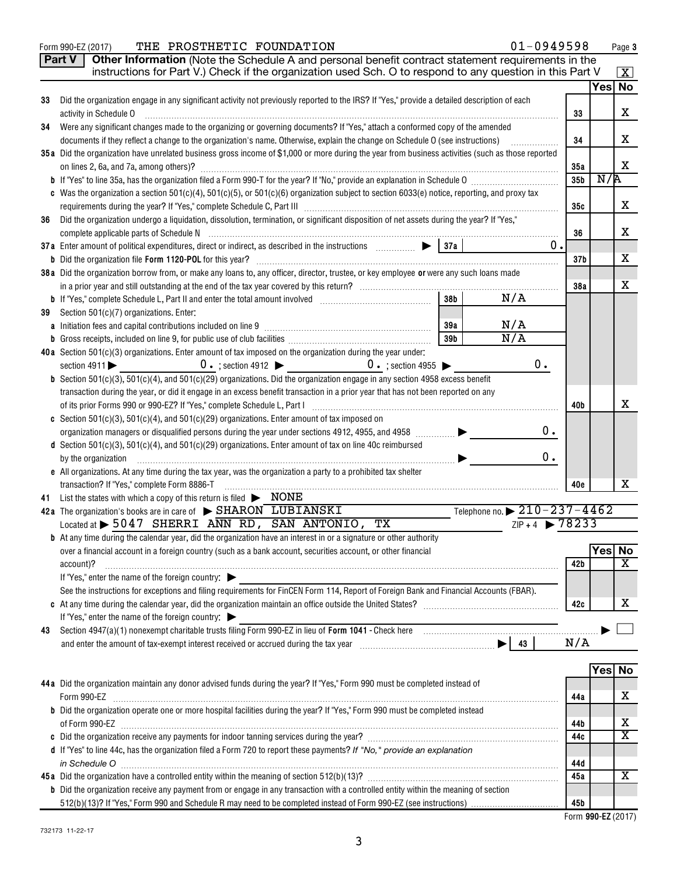|    | Other Information (Note the Schedule A and personal benefit contract statement requirements in the<br>Part V<br>instructions for Part V.) Check if the organization used Sch. O to respond to any question in this Part V |                        |        |                         |
|----|---------------------------------------------------------------------------------------------------------------------------------------------------------------------------------------------------------------------------|------------------------|--------|-------------------------|
|    |                                                                                                                                                                                                                           |                        |        | $\mathbf{X}$<br>Yes No  |
| 33 | Did the organization engage in any significant activity not previously reported to the IRS? If "Yes," provide a detailed description of each                                                                              |                        |        |                         |
|    | activity in Schedule O                                                                                                                                                                                                    | 33                     |        | X                       |
| 34 | Were any significant changes made to the organizing or governing documents? If "Yes," attach a conformed copy of the amended                                                                                              |                        |        |                         |
|    | documents if they reflect a change to the organization's name. Otherwise, explain the change on Schedule O (see instructions)                                                                                             | 34                     |        | X                       |
|    | 35a Did the organization have unrelated business gross income of \$1,000 or more during the year from business activities (such as those reported                                                                         |                        |        | X                       |
|    | on lines 2, 6a, and 7a, among others)?                                                                                                                                                                                    | 35а<br>35 <sub>b</sub> | N/R    |                         |
|    | c Was the organization a section 501(c)(4), 501(c)(5), or 501(c)(6) organization subject to section 6033(e) notice, reporting, and proxy tax                                                                              |                        |        |                         |
|    |                                                                                                                                                                                                                           | 35c                    |        | X                       |
| 36 | Did the organization undergo a liquidation, dissolution, termination, or significant disposition of net assets during the year? If "Yes,"                                                                                 |                        |        |                         |
|    |                                                                                                                                                                                                                           | 36                     |        | X                       |
|    | 0.<br>37a Enter amount of political expenditures, direct or indirect, as described in the instructions [100, 100] [37a ]                                                                                                  |                        |        |                         |
|    |                                                                                                                                                                                                                           | 37 <sub>b</sub>        |        | X                       |
|    | 38a Did the organization borrow from, or make any loans to, any officer, director, trustee, or key employee or were any such loans made                                                                                   |                        |        | X                       |
|    | 38 <sub>b</sub><br>N/A                                                                                                                                                                                                    | 38a                    |        |                         |
| 39 | Section 501(c)(7) organizations. Enter:                                                                                                                                                                                   |                        |        |                         |
|    | N/A<br>39a                                                                                                                                                                                                                |                        |        |                         |
|    | $\overline{N/A}$<br>39b                                                                                                                                                                                                   |                        |        |                         |
|    | 40a Section 501(c)(3) organizations. Enter amount of tax imposed on the organization during the year under:                                                                                                               |                        |        |                         |
|    | $0 \cdot$ ; section 4912 $\triangleright$ 0 $\cdot$ ; section 4955 $\triangleright$<br>0.<br>section $4911$                                                                                                               |                        |        |                         |
|    | <b>b</b> Section $501(c)(3)$ , $501(c)(4)$ , and $501(c)(29)$ organizations. Did the organization engage in any section 4958 excess benefit                                                                               |                        |        |                         |
|    | transaction during the year, or did it engage in an excess benefit transaction in a prior year that has not been reported on any                                                                                          |                        |        |                         |
|    |                                                                                                                                                                                                                           | 40b                    |        | х                       |
|    | <b>c</b> Section 501(c)(3), 501(c)(4), and 501(c)(29) organizations. Enter amount of tax imposed on<br>0.<br>organization managers or disqualified persons during the year under sections 4912, 4955, and 4958            |                        |        |                         |
|    | d Section 501(c)(3), 501(c)(4), and 501(c)(29) organizations. Enter amount of tax on line 40c reimbursed                                                                                                                  |                        |        |                         |
|    | 0.<br>by the organization                                                                                                                                                                                                 |                        |        |                         |
|    | e All organizations. At any time during the tax year, was the organization a party to a prohibited tax shelter                                                                                                            |                        |        |                         |
|    | transaction? If "Yes," complete Form 8886-T                                                                                                                                                                               | 40e                    |        | x                       |
| 41 | List the states with which a copy of this return is filed $\triangleright$ $\text{NONE}$                                                                                                                                  |                        |        |                         |
|    | Telephone no. $\triangleright$ 210 - 237 - 4462<br>42a The organization's books are in care of $\triangleright$ SHARON LUBIANSKI                                                                                          |                        |        |                         |
|    | $ZIP + 4$ 28233<br>Located at $\triangleright$ 5047 SHERRI ANN RD, SAN ANTONIO,<br>T X<br><b>b</b> At any time during the calendar year, did the organization have an interest in or a signature or other authority       |                        |        |                         |
|    | over a financial account in a foreign country (such as a bank account, securities account, or other financial                                                                                                             |                        | Yes No |                         |
|    | account)?                                                                                                                                                                                                                 | 42b                    |        | $\overline{\texttt{x}}$ |
|    | If "Yes," enter the name of the foreign country: $\blacktriangleright$                                                                                                                                                    |                        |        |                         |
|    | See the instructions for exceptions and filing requirements for FinCEN Form 114, Report of Foreign Bank and Financial Accounts (FBAR).                                                                                    |                        |        |                         |
|    |                                                                                                                                                                                                                           | 42c                    |        | х                       |
|    | If "Yes," enter the name of the foreign country: $\blacktriangleright$                                                                                                                                                    |                        |        |                         |
| 43 |                                                                                                                                                                                                                           |                        |        |                         |
|    |                                                                                                                                                                                                                           | N/A                    |        |                         |
|    |                                                                                                                                                                                                                           |                        | Yes    | No                      |
|    | 44a Did the organization maintain any donor advised funds during the year? If "Yes," Form 990 must be completed instead of                                                                                                |                        |        |                         |
|    | Form 990-EZ                                                                                                                                                                                                               | 44a                    |        | X                       |
|    | b Did the organization operate one or more hospital facilities during the year? If "Yes," Form 990 must be completed instead                                                                                              |                        |        |                         |
|    |                                                                                                                                                                                                                           | 44b                    |        | X                       |
|    |                                                                                                                                                                                                                           | 44c                    |        | $\overline{\texttt{x}}$ |
|    | d If "Yes" to line 44c, has the organization filed a Form 720 to report these payments? If "No," provide an explanation                                                                                                   |                        |        |                         |
|    | in Schedule O                                                                                                                                                                                                             | 44d                    |        |                         |
|    |                                                                                                                                                                                                                           | 45a                    |        | $\overline{\mathbf{X}}$ |
|    | <b>b</b> Did the organization receive any payment from or engage in any transaction with a controlled entity within the meaning of section                                                                                | 45b                    |        |                         |
|    |                                                                                                                                                                                                                           |                        |        |                         |

Form 990-EZ (2017) THE PROSTHETIC FOUNDATION  $01-0949598$  age

 **990-EZ** Form (2017)

**Page 3**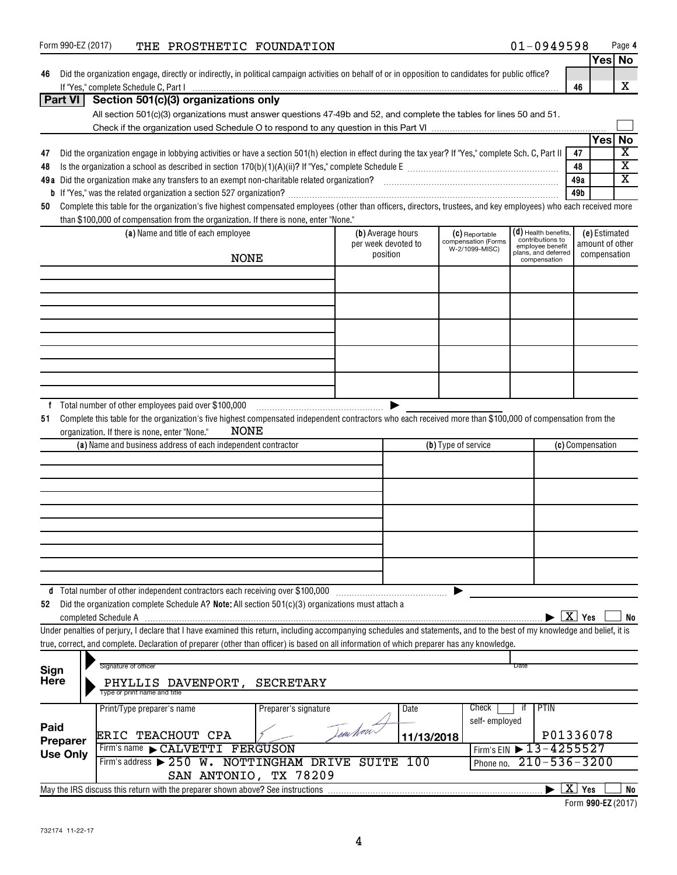| Form 990-EZ (2017)                   | THE PROSTHETIC FOUNDATION                                                                                                                                                  |                      |                     |            |                                       | $01 - 0949598$                       |                                              |                 | Page 4                  |
|--------------------------------------|----------------------------------------------------------------------------------------------------------------------------------------------------------------------------|----------------------|---------------------|------------|---------------------------------------|--------------------------------------|----------------------------------------------|-----------------|-------------------------|
|                                      |                                                                                                                                                                            |                      |                     |            |                                       |                                      |                                              | Yes No          |                         |
| 46                                   | Did the organization engage, directly or indirectly, in political campaign activities on behalf of or in opposition to candidates for public office?                       |                      |                     |            |                                       |                                      |                                              |                 |                         |
|                                      |                                                                                                                                                                            |                      |                     |            |                                       |                                      | 46                                           |                 | X                       |
| Part VI                              | Section 501(c)(3) organizations only                                                                                                                                       |                      |                     |            |                                       |                                      |                                              |                 |                         |
|                                      | All section 501(c)(3) organizations must answer questions 47-49b and 52, and complete the tables for lines 50 and 51.                                                      |                      |                     |            |                                       |                                      |                                              |                 |                         |
|                                      |                                                                                                                                                                            |                      |                     |            |                                       |                                      |                                              |                 |                         |
|                                      |                                                                                                                                                                            |                      |                     |            |                                       |                                      |                                              | Yesl            | No                      |
| 47                                   | Did the organization engage in lobbying activities or have a section 501(h) election in effect during the tax year? If "Yes," complete Sch. C, Part II                     |                      |                     |            |                                       |                                      | 47                                           |                 | $\overline{\mathbf{X}}$ |
| 48                                   |                                                                                                                                                                            |                      |                     |            |                                       |                                      | 48                                           |                 | $\overline{\mathbf{X}}$ |
|                                      |                                                                                                                                                                            |                      |                     |            |                                       |                                      | 49a                                          |                 | $\overline{\mathbf{X}}$ |
|                                      |                                                                                                                                                                            |                      |                     |            |                                       |                                      | 49b                                          |                 |                         |
| 50                                   | Complete this table for the organization's five highest compensated employees (other than officers, directors, trustees, and key employees) who each received more         |                      |                     |            |                                       |                                      |                                              |                 |                         |
|                                      | than \$100,000 of compensation from the organization. If there is none, enter "None."                                                                                      |                      |                     |            |                                       |                                      |                                              |                 |                         |
|                                      | (a) Name and title of each employee                                                                                                                                        |                      | (b) Average hours   |            | (C) Reportable                        | $(d)$ Health benefits,               |                                              | (e) Estimated   |                         |
|                                      |                                                                                                                                                                            |                      | per week devoted to |            | compensation (Forms<br>W-2/1099-MISC) | contributions to<br>employee benefit |                                              | amount of other |                         |
|                                      | <b>NONE</b>                                                                                                                                                                |                      | position            |            |                                       | plans, and deferred<br>compensation  |                                              | compensation    |                         |
|                                      |                                                                                                                                                                            |                      |                     |            |                                       |                                      |                                              |                 |                         |
|                                      |                                                                                                                                                                            |                      |                     |            |                                       |                                      |                                              |                 |                         |
|                                      |                                                                                                                                                                            |                      |                     |            |                                       |                                      |                                              |                 |                         |
|                                      |                                                                                                                                                                            |                      |                     |            |                                       |                                      |                                              |                 |                         |
|                                      |                                                                                                                                                                            |                      |                     |            |                                       |                                      |                                              |                 |                         |
|                                      |                                                                                                                                                                            |                      |                     |            |                                       |                                      |                                              |                 |                         |
|                                      |                                                                                                                                                                            |                      |                     |            |                                       |                                      |                                              |                 |                         |
|                                      |                                                                                                                                                                            |                      |                     |            |                                       |                                      |                                              |                 |                         |
|                                      |                                                                                                                                                                            |                      |                     |            |                                       |                                      |                                              |                 |                         |
|                                      |                                                                                                                                                                            |                      |                     |            |                                       |                                      |                                              |                 |                         |
|                                      | f Total number of other employees paid over \$100,000                                                                                                                      |                      |                     |            |                                       |                                      |                                              |                 |                         |
| 51                                   | Complete this table for the organization's five highest compensated independent contractors who each received more than \$100,000 of compensation from the                 |                      |                     |            |                                       |                                      |                                              |                 |                         |
|                                      | NONE<br>organization. If there is none, enter "None."                                                                                                                      |                      |                     |            |                                       |                                      |                                              |                 |                         |
|                                      | (a) Name and business address of each independent contractor                                                                                                               |                      |                     |            | (b) Type of service                   |                                      | (c) Compensation                             |                 |                         |
|                                      |                                                                                                                                                                            |                      |                     |            |                                       |                                      |                                              |                 |                         |
|                                      |                                                                                                                                                                            |                      |                     |            |                                       |                                      |                                              |                 |                         |
|                                      |                                                                                                                                                                            |                      |                     |            |                                       |                                      |                                              |                 |                         |
|                                      |                                                                                                                                                                            |                      |                     |            |                                       |                                      |                                              |                 |                         |
|                                      |                                                                                                                                                                            |                      |                     |            |                                       |                                      |                                              |                 |                         |
|                                      |                                                                                                                                                                            |                      |                     |            |                                       |                                      |                                              |                 |                         |
|                                      |                                                                                                                                                                            |                      |                     |            |                                       |                                      |                                              |                 |                         |
|                                      |                                                                                                                                                                            |                      |                     |            |                                       |                                      |                                              |                 |                         |
|                                      |                                                                                                                                                                            |                      |                     |            |                                       |                                      |                                              |                 |                         |
|                                      |                                                                                                                                                                            |                      |                     |            |                                       |                                      |                                              |                 |                         |
|                                      | d Total number of other independent contractors each receiving over \$100,000                                                                                              |                      |                     |            |                                       |                                      |                                              |                 |                         |
| 52                                   | Did the organization complete Schedule A? Note: All section 501(c)(3) organizations must attach a                                                                          |                      |                     |            |                                       |                                      |                                              |                 |                         |
|                                      | completed Schedule A                                                                                                                                                       |                      |                     |            |                                       |                                      | $\blacktriangleright$ $\boxed{\text{X}}$ Yes |                 | No                      |
|                                      | Under penalties of perjury, I declare that I have examined this return, including accompanying schedules and statements, and to the best of my knowledge and belief, it is |                      |                     |            |                                       |                                      |                                              |                 |                         |
|                                      | true, correct, and complete. Declaration of preparer (other than officer) is based on all information of which preparer has any knowledge.                                 |                      |                     |            |                                       |                                      |                                              |                 |                         |
|                                      |                                                                                                                                                                            |                      |                     |            |                                       |                                      |                                              |                 |                         |
| Signature of officer<br>Date<br>Sign |                                                                                                                                                                            |                      |                     |            |                                       |                                      |                                              |                 |                         |
| <b>Here</b>                          | PHYLLIS DAVENPORT, SECRETARY                                                                                                                                               |                      |                     |            |                                       |                                      |                                              |                 |                         |
|                                      | Type or print name and title                                                                                                                                               |                      |                     |            |                                       |                                      |                                              |                 |                         |
|                                      | Print/Type preparer's name                                                                                                                                                 | Preparer's signature |                     | Date       | Check                                 | <b>PTIN</b><br>۱t                    |                                              |                 |                         |
| Paid                                 |                                                                                                                                                                            |                      |                     |            | self-employed                         |                                      |                                              |                 |                         |
| <b>Preparer</b>                      | ERIC TEACHOUT CPA                                                                                                                                                          |                      | em hou-             | 11/13/2018 |                                       | P01336078                            |                                              |                 |                         |
| <b>Use Only</b>                      | Firm's name CALVETTI FERGUSON                                                                                                                                              |                      |                     |            | Firm's EIN                            | $\blacktriangleright$ 13-4255527     |                                              |                 |                         |
|                                      | Firm's address > 250 W. NOTTINGHAM DRIVE                                                                                                                                   |                      | SUITE               | 100        | Phone no.                             | $210 - 536 - 3200$                   |                                              |                 |                         |
|                                      | SAN ANTONIO, TX 78209                                                                                                                                                      |                      |                     |            |                                       |                                      |                                              |                 |                         |
|                                      | May the IRS discuss this return with the preparer shown above? See instructions                                                                                            |                      |                     |            |                                       | ▶                                    | $X$ Yes                                      |                 | No                      |
|                                      |                                                                                                                                                                            |                      |                     |            |                                       |                                      |                                              |                 |                         |

**<sup>990-</sup>EZ**  Form (2017)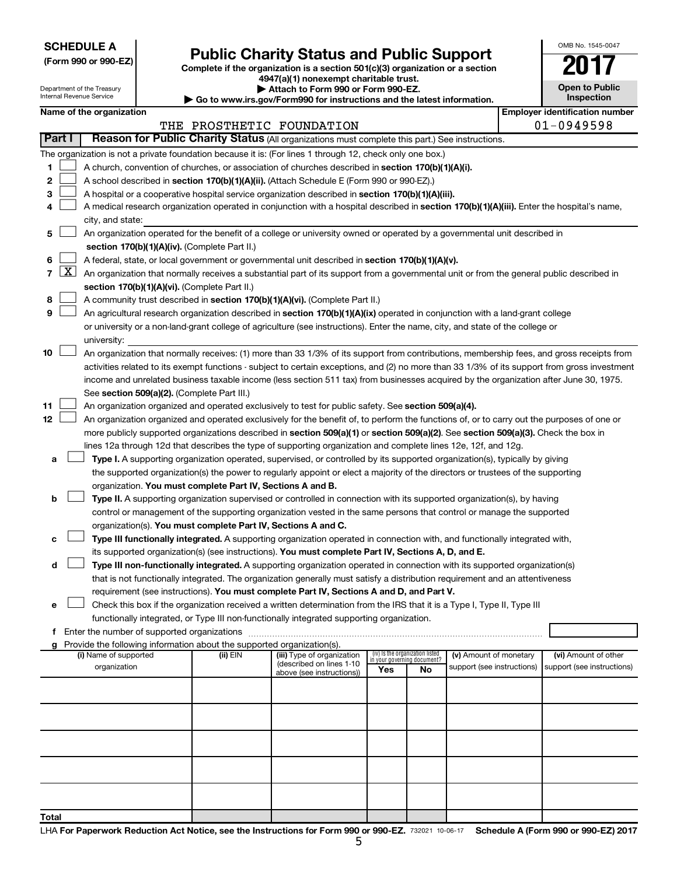**SCHEDULE A**

Department of the Treasury Internal Revenue Service

# Form 990 or 990-EZ)<br>
Complete if the organization is a section 501(c)(3) organization or a section<br> **Public Charity Status and Public Support**

**4947(a)(1) nonexempt charitable trust.**

**| Attach to Form 990 or Form 990-EZ.** 

| <b>Open to Public</b><br>Inspection |  |  |  |  |  |  |
|-------------------------------------|--|--|--|--|--|--|
| er identification numbe             |  |  |  |  |  |  |

OMB No. 1545-0047

| internal Revenue Service<br><b>Inspection</b><br>$\blacktriangleright$ Go to www.irs.gov/Form990 for instructions and the latest information. |                                                                                                                  |  |                          |  |                                                                        |                                                                                                                                               |                                                                |    |                            |  |                                                         |
|-----------------------------------------------------------------------------------------------------------------------------------------------|------------------------------------------------------------------------------------------------------------------|--|--------------------------|--|------------------------------------------------------------------------|-----------------------------------------------------------------------------------------------------------------------------------------------|----------------------------------------------------------------|----|----------------------------|--|---------------------------------------------------------|
|                                                                                                                                               |                                                                                                                  |  | Name of the organization |  |                                                                        | THE PROSTHETIC FOUNDATION                                                                                                                     |                                                                |    |                            |  | <b>Employer identification number</b><br>$01 - 0949598$ |
|                                                                                                                                               | Reason for Public Charity Status (All organizations must complete this part.) See instructions.<br><b>Part I</b> |  |                          |  |                                                                        |                                                                                                                                               |                                                                |    |                            |  |                                                         |
|                                                                                                                                               |                                                                                                                  |  |                          |  |                                                                        | The organization is not a private foundation because it is: (For lines 1 through 12, check only one box.)                                     |                                                                |    |                            |  |                                                         |
| 1                                                                                                                                             |                                                                                                                  |  |                          |  |                                                                        | A church, convention of churches, or association of churches described in section 170(b)(1)(A)(i).                                            |                                                                |    |                            |  |                                                         |
| 2                                                                                                                                             |                                                                                                                  |  |                          |  |                                                                        | A school described in section 170(b)(1)(A)(ii). (Attach Schedule E (Form 990 or 990-EZ).)                                                     |                                                                |    |                            |  |                                                         |
| 3                                                                                                                                             |                                                                                                                  |  |                          |  |                                                                        | A hospital or a cooperative hospital service organization described in section 170(b)(1)(A)(iii).                                             |                                                                |    |                            |  |                                                         |
| 4                                                                                                                                             |                                                                                                                  |  |                          |  |                                                                        | A medical research organization operated in conjunction with a hospital described in section 170(b)(1)(A)(iii). Enter the hospital's name,    |                                                                |    |                            |  |                                                         |
|                                                                                                                                               |                                                                                                                  |  | city, and state:         |  |                                                                        |                                                                                                                                               |                                                                |    |                            |  |                                                         |
|                                                                                                                                               |                                                                                                                  |  |                          |  |                                                                        | An organization operated for the benefit of a college or university owned or operated by a governmental unit described in                     |                                                                |    |                            |  |                                                         |
| 5                                                                                                                                             |                                                                                                                  |  |                          |  |                                                                        |                                                                                                                                               |                                                                |    |                            |  |                                                         |
|                                                                                                                                               |                                                                                                                  |  |                          |  | section 170(b)(1)(A)(iv). (Complete Part II.)                          |                                                                                                                                               |                                                                |    |                            |  |                                                         |
| 6                                                                                                                                             |                                                                                                                  |  |                          |  |                                                                        | A federal, state, or local government or governmental unit described in section 170(b)(1)(A)(v).                                              |                                                                |    |                            |  |                                                         |
| $\overline{7}$                                                                                                                                | $\lfloor x \rfloor$                                                                                              |  |                          |  |                                                                        | An organization that normally receives a substantial part of its support from a governmental unit or from the general public described in     |                                                                |    |                            |  |                                                         |
|                                                                                                                                               |                                                                                                                  |  |                          |  | section 170(b)(1)(A)(vi). (Complete Part II.)                          |                                                                                                                                               |                                                                |    |                            |  |                                                         |
| 8                                                                                                                                             |                                                                                                                  |  |                          |  |                                                                        | A community trust described in section 170(b)(1)(A)(vi). (Complete Part II.)                                                                  |                                                                |    |                            |  |                                                         |
| 9                                                                                                                                             |                                                                                                                  |  |                          |  |                                                                        | An agricultural research organization described in section 170(b)(1)(A)(ix) operated in conjunction with a land-grant college                 |                                                                |    |                            |  |                                                         |
|                                                                                                                                               |                                                                                                                  |  |                          |  |                                                                        | or university or a non-land-grant college of agriculture (see instructions). Enter the name, city, and state of the college or                |                                                                |    |                            |  |                                                         |
|                                                                                                                                               |                                                                                                                  |  | university:              |  |                                                                        |                                                                                                                                               |                                                                |    |                            |  |                                                         |
| 10                                                                                                                                            |                                                                                                                  |  |                          |  |                                                                        | An organization that normally receives: (1) more than 33 1/3% of its support from contributions, membership fees, and gross receipts from     |                                                                |    |                            |  |                                                         |
|                                                                                                                                               |                                                                                                                  |  |                          |  |                                                                        | activities related to its exempt functions - subject to certain exceptions, and (2) no more than 33 1/3% of its support from gross investment |                                                                |    |                            |  |                                                         |
|                                                                                                                                               |                                                                                                                  |  |                          |  |                                                                        | income and unrelated business taxable income (less section 511 tax) from businesses acquired by the organization after June 30, 1975.         |                                                                |    |                            |  |                                                         |
|                                                                                                                                               |                                                                                                                  |  |                          |  | See section 509(a)(2). (Complete Part III.)                            |                                                                                                                                               |                                                                |    |                            |  |                                                         |
| 11                                                                                                                                            |                                                                                                                  |  |                          |  |                                                                        | An organization organized and operated exclusively to test for public safety. See section 509(a)(4).                                          |                                                                |    |                            |  |                                                         |
| 12                                                                                                                                            |                                                                                                                  |  |                          |  |                                                                        | An organization organized and operated exclusively for the benefit of, to perform the functions of, or to carry out the purposes of one or    |                                                                |    |                            |  |                                                         |
|                                                                                                                                               |                                                                                                                  |  |                          |  |                                                                        | more publicly supported organizations described in section 509(a)(1) or section 509(a)(2). See section 509(a)(3). Check the box in            |                                                                |    |                            |  |                                                         |
|                                                                                                                                               |                                                                                                                  |  |                          |  |                                                                        | lines 12a through 12d that describes the type of supporting organization and complete lines 12e, 12f, and 12g.                                |                                                                |    |                            |  |                                                         |
| а                                                                                                                                             |                                                                                                                  |  |                          |  |                                                                        | Type I. A supporting organization operated, supervised, or controlled by its supported organization(s), typically by giving                   |                                                                |    |                            |  |                                                         |
|                                                                                                                                               |                                                                                                                  |  |                          |  |                                                                        | the supported organization(s) the power to regularly appoint or elect a majority of the directors or trustees of the supporting               |                                                                |    |                            |  |                                                         |
|                                                                                                                                               |                                                                                                                  |  |                          |  | organization. You must complete Part IV, Sections A and B.             |                                                                                                                                               |                                                                |    |                            |  |                                                         |
| b                                                                                                                                             |                                                                                                                  |  |                          |  |                                                                        | Type II. A supporting organization supervised or controlled in connection with its supported organization(s), by having                       |                                                                |    |                            |  |                                                         |
|                                                                                                                                               |                                                                                                                  |  |                          |  |                                                                        | control or management of the supporting organization vested in the same persons that control or manage the supported                          |                                                                |    |                            |  |                                                         |
|                                                                                                                                               |                                                                                                                  |  |                          |  | organization(s). You must complete Part IV, Sections A and C.          |                                                                                                                                               |                                                                |    |                            |  |                                                         |
| с                                                                                                                                             |                                                                                                                  |  |                          |  |                                                                        | Type III functionally integrated. A supporting organization operated in connection with, and functionally integrated with,                    |                                                                |    |                            |  |                                                         |
|                                                                                                                                               |                                                                                                                  |  |                          |  |                                                                        | its supported organization(s) (see instructions). You must complete Part IV, Sections A, D, and E.                                            |                                                                |    |                            |  |                                                         |
| d                                                                                                                                             |                                                                                                                  |  |                          |  |                                                                        | Type III non-functionally integrated. A supporting organization operated in connection with its supported organization(s)                     |                                                                |    |                            |  |                                                         |
|                                                                                                                                               |                                                                                                                  |  |                          |  |                                                                        | that is not functionally integrated. The organization generally must satisfy a distribution requirement and an attentiveness                  |                                                                |    |                            |  |                                                         |
|                                                                                                                                               |                                                                                                                  |  |                          |  |                                                                        | requirement (see instructions). You must complete Part IV, Sections A and D, and Part V.                                                      |                                                                |    |                            |  |                                                         |
| е                                                                                                                                             |                                                                                                                  |  |                          |  |                                                                        | Check this box if the organization received a written determination from the IRS that it is a Type I, Type II, Type III                       |                                                                |    |                            |  |                                                         |
|                                                                                                                                               |                                                                                                                  |  |                          |  |                                                                        | functionally integrated, or Type III non-functionally integrated supporting organization.                                                     |                                                                |    |                            |  |                                                         |
|                                                                                                                                               |                                                                                                                  |  |                          |  |                                                                        |                                                                                                                                               |                                                                |    |                            |  |                                                         |
| g                                                                                                                                             |                                                                                                                  |  |                          |  | Provide the following information about the supported organization(s). |                                                                                                                                               |                                                                |    |                            |  |                                                         |
|                                                                                                                                               |                                                                                                                  |  | (i) Name of supported    |  | (ii) EIN                                                               | (iii) Type of organization<br>(described on lines 1-10                                                                                        | (iv) Is the organization listed<br>in your governing document? |    | (v) Amount of monetary     |  | (vi) Amount of other                                    |
|                                                                                                                                               |                                                                                                                  |  | organization             |  |                                                                        | above (see instructions))                                                                                                                     | Yes                                                            | No | support (see instructions) |  | support (see instructions)                              |
|                                                                                                                                               |                                                                                                                  |  |                          |  |                                                                        |                                                                                                                                               |                                                                |    |                            |  |                                                         |
|                                                                                                                                               |                                                                                                                  |  |                          |  |                                                                        |                                                                                                                                               |                                                                |    |                            |  |                                                         |
|                                                                                                                                               |                                                                                                                  |  |                          |  |                                                                        |                                                                                                                                               |                                                                |    |                            |  |                                                         |
|                                                                                                                                               |                                                                                                                  |  |                          |  |                                                                        |                                                                                                                                               |                                                                |    |                            |  |                                                         |
|                                                                                                                                               |                                                                                                                  |  |                          |  |                                                                        |                                                                                                                                               |                                                                |    |                            |  |                                                         |
|                                                                                                                                               |                                                                                                                  |  |                          |  |                                                                        |                                                                                                                                               |                                                                |    |                            |  |                                                         |
|                                                                                                                                               |                                                                                                                  |  |                          |  |                                                                        |                                                                                                                                               |                                                                |    |                            |  |                                                         |
|                                                                                                                                               |                                                                                                                  |  |                          |  |                                                                        |                                                                                                                                               |                                                                |    |                            |  |                                                         |
|                                                                                                                                               |                                                                                                                  |  |                          |  |                                                                        |                                                                                                                                               |                                                                |    |                            |  |                                                         |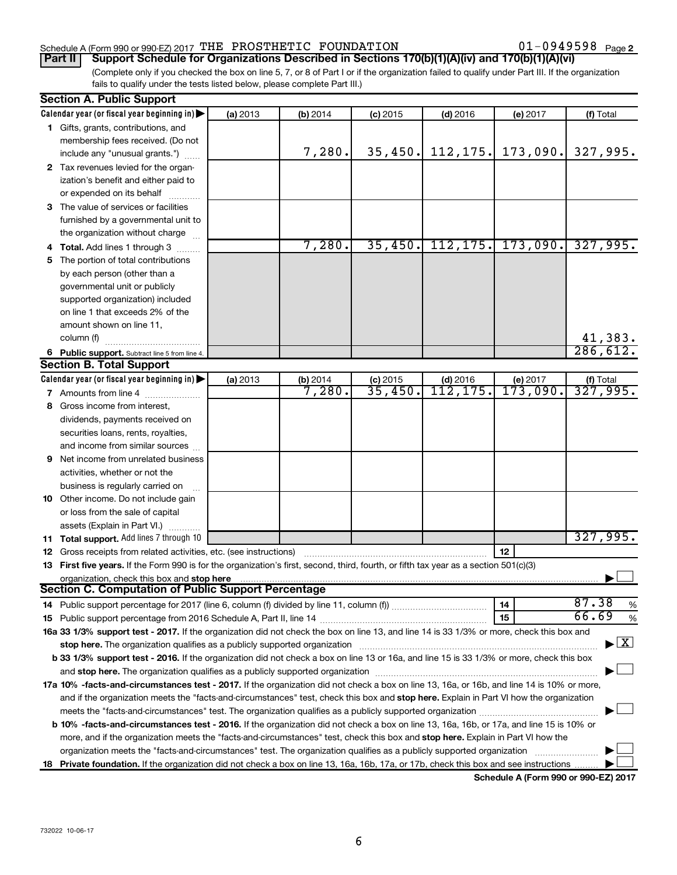### Schedule A (Form 990 or 990-EZ) 2017  $\,$  THE PROSTHETIC FOUNDATION  $\,$  01  $-$  0949598  $\,$   $_{\rm{Page}}$

01-0949598 Page 2

(Complete only if you checked the box on line 5, 7, or 8 of Part I or if the organization failed to qualify under Part III. If the organization fails to qualify under the tests listed below, please complete Part III.) **Part II Support Schedule for Organizations Described in Sections 170(b)(1)(A)(iv) and 170(b)(1)(A)(vi)**

|    | <b>Section A. Public Support</b>                                                                                                                                                                                              |          |          |            |            |          |                                       |
|----|-------------------------------------------------------------------------------------------------------------------------------------------------------------------------------------------------------------------------------|----------|----------|------------|------------|----------|---------------------------------------|
|    | Calendar year (or fiscal year beginning in)                                                                                                                                                                                   | (a) 2013 | (b) 2014 | $(c)$ 2015 | $(d)$ 2016 | (e) 2017 | (f) Total                             |
|    | 1 Gifts, grants, contributions, and                                                                                                                                                                                           |          |          |            |            |          |                                       |
|    | membership fees received. (Do not                                                                                                                                                                                             |          |          |            |            |          |                                       |
|    | include any "unusual grants.")                                                                                                                                                                                                |          | 7,280.   | 35,450.    | 112, 175.  | 173,090. | 327,995.                              |
|    | 2 Tax revenues levied for the organ-                                                                                                                                                                                          |          |          |            |            |          |                                       |
|    | ization's benefit and either paid to                                                                                                                                                                                          |          |          |            |            |          |                                       |
|    | or expended on its behalf                                                                                                                                                                                                     |          |          |            |            |          |                                       |
|    | 3 The value of services or facilities                                                                                                                                                                                         |          |          |            |            |          |                                       |
|    | furnished by a governmental unit to                                                                                                                                                                                           |          |          |            |            |          |                                       |
|    | the organization without charge                                                                                                                                                                                               |          |          |            |            |          |                                       |
|    | Total. Add lines 1 through 3                                                                                                                                                                                                  |          | 7,280.   | 35,450.    | 112, 175.  | 173,090. | 327,995.                              |
| 5. | The portion of total contributions                                                                                                                                                                                            |          |          |            |            |          |                                       |
|    | by each person (other than a                                                                                                                                                                                                  |          |          |            |            |          |                                       |
|    | governmental unit or publicly                                                                                                                                                                                                 |          |          |            |            |          |                                       |
|    | supported organization) included                                                                                                                                                                                              |          |          |            |            |          |                                       |
|    | on line 1 that exceeds 2% of the                                                                                                                                                                                              |          |          |            |            |          |                                       |
|    | amount shown on line 11,                                                                                                                                                                                                      |          |          |            |            |          |                                       |
|    | column (f)                                                                                                                                                                                                                    |          |          |            |            |          | 41,383.                               |
|    | 6 Public support. Subtract line 5 from line 4.                                                                                                                                                                                |          |          |            |            |          | 286,612.                              |
|    | <b>Section B. Total Support</b>                                                                                                                                                                                               |          |          |            |            |          |                                       |
|    | Calendar year (or fiscal year beginning in)                                                                                                                                                                                   | (a) 2013 | (b) 2014 | $(c)$ 2015 | $(d)$ 2016 | (e) 2017 |                                       |
|    | <b>7</b> Amounts from line 4                                                                                                                                                                                                  |          | 7,280.   | 35,450.    | 112,175.   | 173,090. | $\frac{f(f) \text{ Total}}{327,995.}$ |
| 8  | Gross income from interest,                                                                                                                                                                                                   |          |          |            |            |          |                                       |
|    | dividends, payments received on                                                                                                                                                                                               |          |          |            |            |          |                                       |
|    | securities loans, rents, royalties,                                                                                                                                                                                           |          |          |            |            |          |                                       |
|    | and income from similar sources                                                                                                                                                                                               |          |          |            |            |          |                                       |
| 9  | Net income from unrelated business                                                                                                                                                                                            |          |          |            |            |          |                                       |
|    | activities, whether or not the                                                                                                                                                                                                |          |          |            |            |          |                                       |
|    | business is regularly carried on                                                                                                                                                                                              |          |          |            |            |          |                                       |
|    | 10 Other income. Do not include gain                                                                                                                                                                                          |          |          |            |            |          |                                       |
|    | or loss from the sale of capital                                                                                                                                                                                              |          |          |            |            |          |                                       |
|    | assets (Explain in Part VI.)                                                                                                                                                                                                  |          |          |            |            |          |                                       |
|    | 11 Total support. Add lines 7 through 10                                                                                                                                                                                      |          |          |            |            |          | 327,995.                              |
|    | <b>12</b> Gross receipts from related activities, etc. (see instructions)                                                                                                                                                     |          |          |            |            | 12       |                                       |
|    | 13 First five years. If the Form 990 is for the organization's first, second, third, fourth, or fifth tax year as a section 501(c)(3)                                                                                         |          |          |            |            |          |                                       |
|    | organization, check this box and stop here                                                                                                                                                                                    |          |          |            |            |          |                                       |
|    | <b>Section C. Computation of Public Support Percentage</b>                                                                                                                                                                    |          |          |            |            |          |                                       |
|    |                                                                                                                                                                                                                               |          |          |            |            | 14       | 87.38<br>%                            |
|    |                                                                                                                                                                                                                               |          |          |            |            | 15       | 66.69<br>$\%$                         |
|    | 16a 33 1/3% support test - 2017. If the organization did not check the box on line 13, and line 14 is 33 1/3% or more, check this box and                                                                                     |          |          |            |            |          |                                       |
|    | stop here. The organization qualifies as a publicly supported organization                                                                                                                                                    |          |          |            |            |          | $\mathbf{X}$                          |
|    | b 33 1/3% support test - 2016. If the organization did not check a box on line 13 or 16a, and line 15 is 33 1/3% or more, check this box                                                                                      |          |          |            |            |          |                                       |
|    | and stop here. The organization qualifies as a publicly supported organization [11] manuscription manuscription manuscription manuscription manuscription manuscription and a state of the state of the state of the state of |          |          |            |            |          |                                       |
|    | 17a 10% -facts-and-circumstances test - 2017. If the organization did not check a box on line 13, 16a, or 16b, and line 14 is 10% or more,                                                                                    |          |          |            |            |          |                                       |
|    | and if the organization meets the "facts-and-circumstances" test, check this box and stop here. Explain in Part VI how the organization                                                                                       |          |          |            |            |          |                                       |
|    | meets the "facts-and-circumstances" test. The organization qualifies as a publicly supported organization <i>manumumum</i>                                                                                                    |          |          |            |            |          |                                       |
|    | <b>b 10%</b> -facts-and-circumstances test - 2016. If the organization did not check a box on line 13, 16a, 16b, or 17a, and line 15 is 10% or                                                                                |          |          |            |            |          |                                       |
|    | more, and if the organization meets the "facts-and-circumstances" test, check this box and stop here. Explain in Part VI how the                                                                                              |          |          |            |            |          |                                       |
|    | organization meets the "facts-and-circumstances" test. The organization qualifies as a publicly supported organization                                                                                                        |          |          |            |            |          |                                       |
| 18 | Private foundation. If the organization did not check a box on line 13, 16a, 16b, 17a, or 17b, check this box and see instructions                                                                                            |          |          |            |            |          |                                       |
|    |                                                                                                                                                                                                                               |          |          |            |            |          |                                       |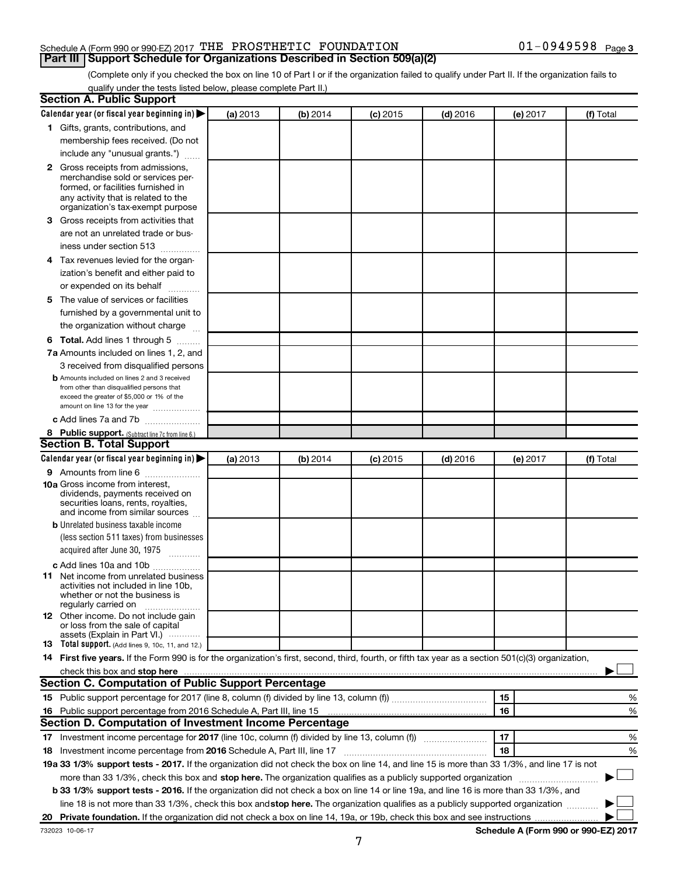### Schedule A (Form 990 or 990-EZ) 2017  $\,$  THE PROSTHETIC FOUNDATION  $\,$  01  $-$  0949598  $\,$   $_{\rm{Page}}$ **Part III Support Schedule for Organizations Described in Section 509(a)(2)**

(Complete only if you checked the box on line 10 of Part I or if the organization failed to qualify under Part II. If the organization fails to qualify under the tests listed below, please complete Part II.)

| <b>Section A. Public Support</b>                                                                                                                                                                |          |          |          |            |          |                                      |
|-------------------------------------------------------------------------------------------------------------------------------------------------------------------------------------------------|----------|----------|----------|------------|----------|--------------------------------------|
| Calendar year (or fiscal year beginning in)                                                                                                                                                     | (a) 2013 | (b) 2014 | (c) 2015 | $(d)$ 2016 | (e) 2017 | (f) Total                            |
| 1 Gifts, grants, contributions, and                                                                                                                                                             |          |          |          |            |          |                                      |
| membership fees received. (Do not                                                                                                                                                               |          |          |          |            |          |                                      |
| include any "unusual grants.")                                                                                                                                                                  |          |          |          |            |          |                                      |
| <b>2</b> Gross receipts from admissions,<br>merchandise sold or services per-<br>formed, or facilities furnished in<br>any activity that is related to the<br>organization's tax-exempt purpose |          |          |          |            |          |                                      |
| 3 Gross receipts from activities that                                                                                                                                                           |          |          |          |            |          |                                      |
| are not an unrelated trade or bus-<br>iness under section 513                                                                                                                                   |          |          |          |            |          |                                      |
| 4 Tax revenues levied for the organ-                                                                                                                                                            |          |          |          |            |          |                                      |
| ization's benefit and either paid to                                                                                                                                                            |          |          |          |            |          |                                      |
| or expended on its behalf<br>.                                                                                                                                                                  |          |          |          |            |          |                                      |
| 5 The value of services or facilities                                                                                                                                                           |          |          |          |            |          |                                      |
| furnished by a governmental unit to                                                                                                                                                             |          |          |          |            |          |                                      |
| the organization without charge                                                                                                                                                                 |          |          |          |            |          |                                      |
| <b>6 Total.</b> Add lines 1 through 5                                                                                                                                                           |          |          |          |            |          |                                      |
| 7a Amounts included on lines 1, 2, and                                                                                                                                                          |          |          |          |            |          |                                      |
| 3 received from disqualified persons                                                                                                                                                            |          |          |          |            |          |                                      |
| <b>b</b> Amounts included on lines 2 and 3 received<br>from other than disqualified persons that<br>exceed the greater of \$5,000 or 1% of the<br>amount on line 13 for the year                |          |          |          |            |          |                                      |
| c Add lines 7a and 7b                                                                                                                                                                           |          |          |          |            |          |                                      |
| 8 Public support. (Subtract line 7c from line 6.)                                                                                                                                               |          |          |          |            |          |                                      |
| <b>Section B. Total Support</b>                                                                                                                                                                 |          |          |          |            |          |                                      |
| Calendar year (or fiscal year beginning in)                                                                                                                                                     | (a) 2013 | (b) 2014 | (c) 2015 | $(d)$ 2016 | (e) 2017 | (f) Total                            |
| <b>9</b> Amounts from line 6                                                                                                                                                                    |          |          |          |            |          |                                      |
| <b>10a</b> Gross income from interest,<br>dividends, payments received on<br>securities loans, rents, royalties,<br>and income from similar sources                                             |          |          |          |            |          |                                      |
| <b>b</b> Unrelated business taxable income                                                                                                                                                      |          |          |          |            |          |                                      |
| (less section 511 taxes) from businesses<br>acquired after June 30, 1975                                                                                                                        |          |          |          |            |          |                                      |
| c Add lines 10a and 10b                                                                                                                                                                         |          |          |          |            |          |                                      |
| <b>11</b> Net income from unrelated business<br>activities not included in line 10b.<br>whether or not the business is<br>regularly carried on                                                  |          |          |          |            |          |                                      |
| <b>12</b> Other income. Do not include gain<br>or loss from the sale of capital<br>assets (Explain in Part VI.)                                                                                 |          |          |          |            |          |                                      |
| <b>13</b> Total support. (Add lines 9, 10c, 11, and 12.)                                                                                                                                        |          |          |          |            |          |                                      |
| 14 First five years. If the Form 990 is for the organization's first, second, third, fourth, or fifth tax year as a section 501(c)(3) organization,                                             |          |          |          |            |          |                                      |
| check this box and stop here <b>manufacture and intervention and starting and stop here</b> and stop here <b>manufacture</b>                                                                    |          |          |          |            |          |                                      |
| <b>Section C. Computation of Public Support Percentage</b>                                                                                                                                      |          |          |          |            |          |                                      |
|                                                                                                                                                                                                 |          |          |          |            | 15       | %                                    |
| 16 Public support percentage from 2016 Schedule A, Part III, line 15                                                                                                                            |          |          |          |            | 16       | %                                    |
| Section D. Computation of Investment Income Percentage                                                                                                                                          |          |          |          |            |          |                                      |
| 17 Investment income percentage for 2017 (line 10c, column (f) divided by line 13, column (f))                                                                                                  |          |          |          |            | 17       | %                                    |
| 18 Investment income percentage from 2016 Schedule A, Part III, line 17                                                                                                                         |          |          |          |            | 18       | %                                    |
| 19a 33 1/3% support tests - 2017. If the organization did not check the box on line 14, and line 15 is more than 33 1/3%, and line 17 is not                                                    |          |          |          |            |          |                                      |
| more than 33 1/3%, check this box and stop here. The organization qualifies as a publicly supported organization                                                                                |          |          |          |            |          |                                      |
| b 33 1/3% support tests - 2016. If the organization did not check a box on line 14 or line 19a, and line 16 is more than 33 1/3%, and                                                           |          |          |          |            |          |                                      |
| line 18 is not more than 33 1/3%, check this box and stop here. The organization qualifies as a publicly supported organization                                                                 |          |          |          |            |          |                                      |
|                                                                                                                                                                                                 |          |          |          |            |          |                                      |
| 732023 10-06-17                                                                                                                                                                                 |          |          |          |            |          | Schedule A (Form 990 or 990-EZ) 2017 |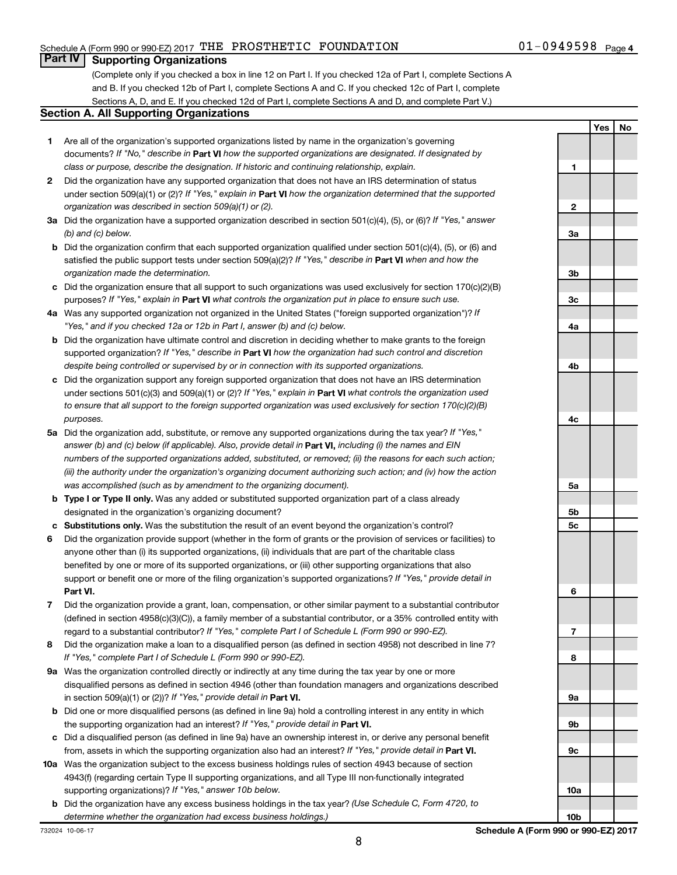### Schedule A (Form 990 or 990-EZ) 2017  $\,$  THE PROSTHETIC FOUNDATION  $\,$  01  $-$  0949598  $\,$   $_{\rm{Page}}$

**Yes No**

### **Part IV Supporting Organizations**

(Complete only if you checked a box in line 12 on Part I. If you checked 12a of Part I, complete Sections A and B. If you checked 12b of Part I, complete Sections A and C. If you checked 12c of Part I, complete Sections A, D, and E. If you checked 12d of Part I, complete Sections A and D, and complete Part V.)

### **Section A. All Supporting Organizations**

- **1** Are all of the organization's supported organizations listed by name in the organization's governing documents? If "No," describe in Part VI how the supported organizations are designated. If designated by *class or purpose, describe the designation. If historic and continuing relationship, explain.*
- **2** Did the organization have any supported organization that does not have an IRS determination of status under section 509(a)(1) or (2)? If "Yes," explain in Part **VI** how the organization determined that the supported *organization was described in section 509(a)(1) or (2).*
- **3a** Did the organization have a supported organization described in section 501(c)(4), (5), or (6)? If "Yes," answer *(b) and (c) below.*
- **b** Did the organization confirm that each supported organization qualified under section 501(c)(4), (5), or (6) and satisfied the public support tests under section 509(a)(2)? If "Yes," describe in Part VI when and how the *organization made the determination.*
- **c** Did the organization ensure that all support to such organizations was used exclusively for section 170(c)(2)(B) purposes? If "Yes," explain in Part VI what controls the organization put in place to ensure such use.
- **4 a** *If* Was any supported organization not organized in the United States ("foreign supported organization")? *"Yes," and if you checked 12a or 12b in Part I, answer (b) and (c) below.*
- **b** Did the organization have ultimate control and discretion in deciding whether to make grants to the foreign supported organization? If "Yes," describe in Part VI how the organization had such control and discretion *despite being controlled or supervised by or in connection with its supported organizations.*
- **c** Did the organization support any foreign supported organization that does not have an IRS determination under sections 501(c)(3) and 509(a)(1) or (2)? If "Yes," explain in Part VI what controls the organization used *to ensure that all support to the foreign supported organization was used exclusively for section 170(c)(2)(B) purposes.*
- **5a** Did the organization add, substitute, or remove any supported organizations during the tax year? If "Yes," answer (b) and (c) below (if applicable). Also, provide detail in **Part VI,** including (i) the names and EIN *numbers of the supported organizations added, substituted, or removed; (ii) the reasons for each such action; (iii) the authority under the organization's organizing document authorizing such action; and (iv) how the action was accomplished (such as by amendment to the organizing document).*
- **b** Type I or Type II only. Was any added or substituted supported organization part of a class already designated in the organization's organizing document?
- **c Substitutions only.**  Was the substitution the result of an event beyond the organization's control?
- **6** Did the organization provide support (whether in the form of grants or the provision of services or facilities) to **Part VI.** support or benefit one or more of the filing organization's supported organizations? If "Yes," provide detail in anyone other than (i) its supported organizations, (ii) individuals that are part of the charitable class benefited by one or more of its supported organizations, or (iii) other supporting organizations that also
- **7** Did the organization provide a grant, loan, compensation, or other similar payment to a substantial contributor regard to a substantial contributor? If "Yes," complete Part I of Schedule L (Form 990 or 990-EZ). (defined in section 4958(c)(3)(C)), a family member of a substantial contributor, or a 35% controlled entity with
- **8** Did the organization make a loan to a disqualified person (as defined in section 4958) not described in line 7? *If "Yes," complete Part I of Schedule L (Form 990 or 990-EZ).*
- **9 a** Was the organization controlled directly or indirectly at any time during the tax year by one or more in section 509(a)(1) or (2))? If "Yes," provide detail in **Part VI.** disqualified persons as defined in section 4946 (other than foundation managers and organizations described
- **b** Did one or more disqualified persons (as defined in line 9a) hold a controlling interest in any entity in which the supporting organization had an interest? If "Yes," provide detail in Part VI.
- **c** Did a disqualified person (as defined in line 9a) have an ownership interest in, or derive any personal benefit from, assets in which the supporting organization also had an interest? If "Yes," provide detail in Part VI.
- **10 a** Was the organization subject to the excess business holdings rules of section 4943 because of section supporting organizations)? If "Yes," answer 10b below. 4943(f) (regarding certain Type II supporting organizations, and all Type III non-functionally integrated
- **b** Did the organization have any excess business holdings in the tax year? (Use Schedule C, Form 4720, to *determine whether the organization had excess business holdings.)*

**1 2 3a 3b 3c 4a 4b 4c 5a 5b 5c 6 7 8 9a 9b 9c 10a**

**10b**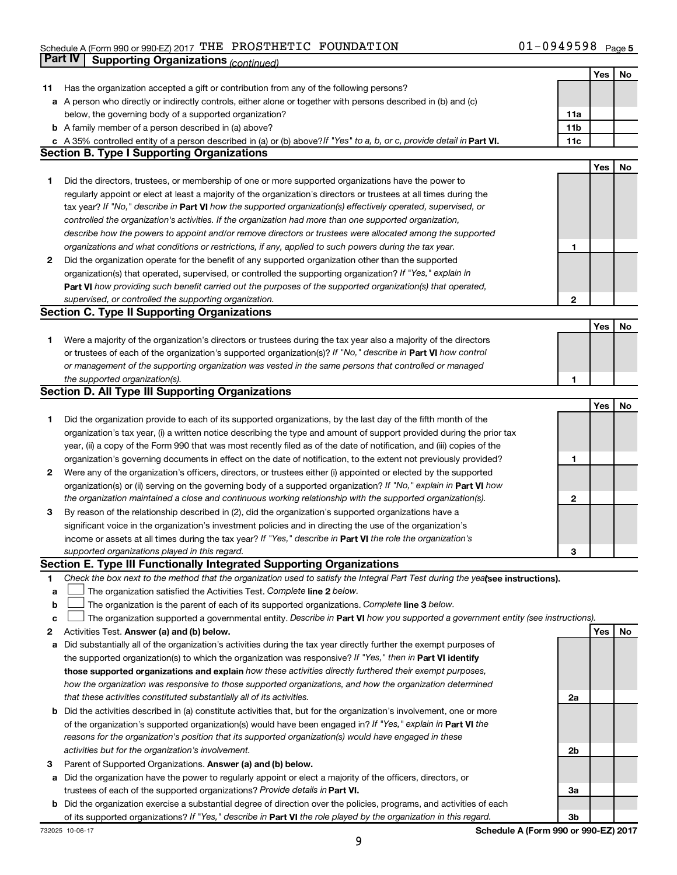### Schedule A (Form 990 or 990-EZ) 2017  $\,$  THE PROSTHETIC FOUNDATION  $\,$  01  $-$  0949598  $\,$   $_{\rm{Page}}$ **Part IV Supporting Organizations** *(continued)*

|    |                                                                                                                                 |                 | Yes | No |
|----|---------------------------------------------------------------------------------------------------------------------------------|-----------------|-----|----|
| 11 | Has the organization accepted a gift or contribution from any of the following persons?                                         |                 |     |    |
|    | a A person who directly or indirectly controls, either alone or together with persons described in (b) and (c)                  |                 |     |    |
|    | below, the governing body of a supported organization?                                                                          | 11a             |     |    |
|    | <b>b</b> A family member of a person described in (a) above?                                                                    | 11 <sub>b</sub> |     |    |
|    | c A 35% controlled entity of a person described in (a) or (b) above? If "Yes" to a, b, or c, provide detail in Part VI.         | 11c             |     |    |
|    | <b>Section B. Type I Supporting Organizations</b>                                                                               |                 |     |    |
|    |                                                                                                                                 |                 | Yes | No |
| 1  | Did the directors, trustees, or membership of one or more supported organizations have the power to                             |                 |     |    |
|    | regularly appoint or elect at least a majority of the organization's directors or trustees at all times during the              |                 |     |    |
|    | tax year? If "No," describe in Part VI how the supported organization(s) effectively operated, supervised, or                   |                 |     |    |
|    | controlled the organization's activities. If the organization had more than one supported organization,                         |                 |     |    |
|    | describe how the powers to appoint and/or remove directors or trustees were allocated among the supported                       |                 |     |    |
|    | organizations and what conditions or restrictions, if any, applied to such powers during the tax year.                          | 1               |     |    |
| 2  | Did the organization operate for the benefit of any supported organization other than the supported                             |                 |     |    |
|    | organization(s) that operated, supervised, or controlled the supporting organization? If "Yes," explain in                      |                 |     |    |
|    | Part VI how providing such benefit carried out the purposes of the supported organization(s) that operated,                     |                 |     |    |
|    |                                                                                                                                 | 2               |     |    |
|    | supervised, or controlled the supporting organization.                                                                          |                 |     |    |
|    | <b>Section C. Type II Supporting Organizations</b>                                                                              |                 |     |    |
|    |                                                                                                                                 |                 | Yes | No |
| 1  | Were a majority of the organization's directors or trustees during the tax year also a majority of the directors                |                 |     |    |
|    | or trustees of each of the organization's supported organization(s)? If "No," describe in Part VI how control                   |                 |     |    |
|    | or management of the supporting organization was vested in the same persons that controlled or managed                          |                 |     |    |
|    | the supported organization(s).                                                                                                  | 1               |     |    |
|    | <b>Section D. All Type III Supporting Organizations</b>                                                                         |                 |     |    |
|    |                                                                                                                                 |                 | Yes | No |
| 1  | Did the organization provide to each of its supported organizations, by the last day of the fifth month of the                  |                 |     |    |
|    | organization's tax year, (i) a written notice describing the type and amount of support provided during the prior tax           |                 |     |    |
|    | year, (ii) a copy of the Form 990 that was most recently filed as of the date of notification, and (iii) copies of the          |                 |     |    |
|    | organization's governing documents in effect on the date of notification, to the extent not previously provided?                | 1               |     |    |
| 2  | Were any of the organization's officers, directors, or trustees either (i) appointed or elected by the supported                |                 |     |    |
|    | organization(s) or (ii) serving on the governing body of a supported organization? If "No," explain in Part VI how              |                 |     |    |
|    | the organization maintained a close and continuous working relationship with the supported organization(s).                     | 2               |     |    |
| 3  | By reason of the relationship described in (2), did the organization's supported organizations have a                           |                 |     |    |
|    | significant voice in the organization's investment policies and in directing the use of the organization's                      |                 |     |    |
|    | income or assets at all times during the tax year? If "Yes," describe in Part VI the role the organization's                    |                 |     |    |
|    | supported organizations played in this regard.                                                                                  | 3               |     |    |
|    | <b>Section E. Type III Functionally Integrated Supporting Organizations</b>                                                     |                 |     |    |
| 1  | Check the box next to the method that the organization used to satisfy the Integral Part Test during the yealsee instructions). |                 |     |    |
| а  | The organization satisfied the Activities Test. Complete line 2 below.                                                          |                 |     |    |
| b  | The organization is the parent of each of its supported organizations. Complete line 3 below.                                   |                 |     |    |
| c  | The organization supported a governmental entity. Describe in Part VI how you supported a government entity (see instructions). |                 |     |    |
| 2  | Activities Test. Answer (a) and (b) below.                                                                                      |                 | Yes | No |
| а  | Did substantially all of the organization's activities during the tax year directly further the exempt purposes of              |                 |     |    |
|    | the supported organization(s) to which the organization was responsive? If "Yes," then in Part VI identify                      |                 |     |    |
|    | those supported organizations and explain how these activities directly furthered their exempt purposes,                        |                 |     |    |
|    | how the organization was responsive to those supported organizations, and how the organization determined                       |                 |     |    |
|    | that these activities constituted substantially all of its activities.                                                          | 2a              |     |    |
|    | <b>b</b> Did the activities described in (a) constitute activities that, but for the organization's involvement, one or more    |                 |     |    |
|    | of the organization's supported organization(s) would have been engaged in? If "Yes," explain in Part VI the                    |                 |     |    |
|    | reasons for the organization's position that its supported organization(s) would have engaged in these                          |                 |     |    |
|    | activities but for the organization's involvement.                                                                              | 2b              |     |    |
| 3  | Parent of Supported Organizations. Answer (a) and (b) below.                                                                    |                 |     |    |
| а  | Did the organization have the power to regularly appoint or elect a majority of the officers, directors, or                     |                 |     |    |
|    | trustees of each of the supported organizations? Provide details in Part VI.                                                    | За              |     |    |
|    | <b>b</b> Did the organization exercise a substantial degree of direction over the policies, programs, and activities of each    |                 |     |    |
|    | of its supported organizations? If "Yes," describe in Part VI the role played by the organization in this regard.               | 3b              |     |    |
|    |                                                                                                                                 |                 |     |    |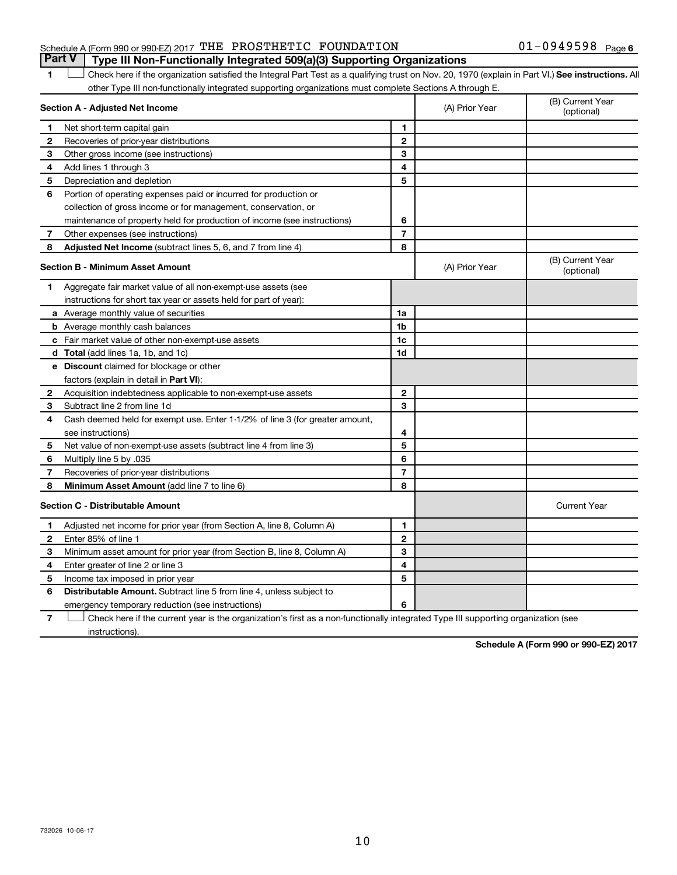### Schedule A (Form 990 or 990-EZ) 2017  $\,$  THE PROSTHETIC FOUNDATION  $\,$  01  $-$  0949598  $\,$   $_{\rm{Page}}$ **Part V Type III Non-Functionally Integrated 509(a)(3) Supporting Organizations**

1 **Letter See instructions.** All Check here if the organization satisfied the Integral Part Test as a qualifying trust on Nov. 20, 1970 (explain in Part VI.) See instructions. All other Type III non-functionally integrated supporting organizations must complete Sections A through E.

|    | Section A - Adjusted Net Income                                              |                | (A) Prior Year | (B) Current Year<br>(optional) |
|----|------------------------------------------------------------------------------|----------------|----------------|--------------------------------|
| 1  | Net short-term capital gain                                                  | 1              |                |                                |
| 2  | Recoveries of prior-year distributions                                       | $\mathbf{2}$   |                |                                |
| 3  | Other gross income (see instructions)                                        | 3              |                |                                |
| 4  | Add lines 1 through 3                                                        | 4              |                |                                |
| 5  | Depreciation and depletion                                                   | 5              |                |                                |
| 6  | Portion of operating expenses paid or incurred for production or             |                |                |                                |
|    | collection of gross income or for management, conservation, or               |                |                |                                |
|    | maintenance of property held for production of income (see instructions)     | 6              |                |                                |
| 7  | Other expenses (see instructions)                                            | $\overline{7}$ |                |                                |
| 8  | Adjusted Net Income (subtract lines 5, 6, and 7 from line 4)                 | 8              |                |                                |
|    | <b>Section B - Minimum Asset Amount</b>                                      |                | (A) Prior Year | (B) Current Year<br>(optional) |
| 1. | Aggregate fair market value of all non-exempt-use assets (see                |                |                |                                |
|    | instructions for short tax year or assets held for part of year):            |                |                |                                |
|    | <b>a</b> Average monthly value of securities                                 | 1a             |                |                                |
|    | <b>b</b> Average monthly cash balances                                       | 1 <sub>b</sub> |                |                                |
|    | c Fair market value of other non-exempt-use assets                           | 1c             |                |                                |
|    | d Total (add lines 1a, 1b, and 1c)                                           | 1d             |                |                                |
|    | e Discount claimed for blockage or other                                     |                |                |                                |
|    | factors (explain in detail in Part VI):                                      |                |                |                                |
| 2  | Acquisition indebtedness applicable to non-exempt-use assets                 | $\mathbf{2}$   |                |                                |
| 3  | Subtract line 2 from line 1d                                                 | 3              |                |                                |
| 4  | Cash deemed held for exempt use. Enter 1-1/2% of line 3 (for greater amount, |                |                |                                |
|    | see instructions)                                                            | 4              |                |                                |
| 5  | Net value of non-exempt-use assets (subtract line 4 from line 3)             | 5              |                |                                |
| 6  | Multiply line 5 by .035                                                      | 6              |                |                                |
| 7  | Recoveries of prior-year distributions                                       | $\overline{7}$ |                |                                |
| 8  | Minimum Asset Amount (add line 7 to line 6)                                  | 8              |                |                                |
|    | <b>Section C - Distributable Amount</b>                                      |                |                | <b>Current Year</b>            |
| 1  | Adjusted net income for prior year (from Section A, line 8, Column A)        | 1              |                |                                |
| 2  | Enter 85% of line 1                                                          | $\mathbf{2}$   |                |                                |
| З  | Minimum asset amount for prior year (from Section B, line 8, Column A)       | 3              |                |                                |
| 4  | Enter greater of line 2 or line 3                                            | 4              |                |                                |
| 5  | Income tax imposed in prior year                                             | 5              |                |                                |
| 6  | <b>Distributable Amount.</b> Subtract line 5 from line 4, unless subject to  |                |                |                                |
|    | emergency temporary reduction (see instructions)                             | 6              |                |                                |

**7** Let Check here if the current year is the organization's first as a non-functionally integrated Type III supporting organization (see instructions).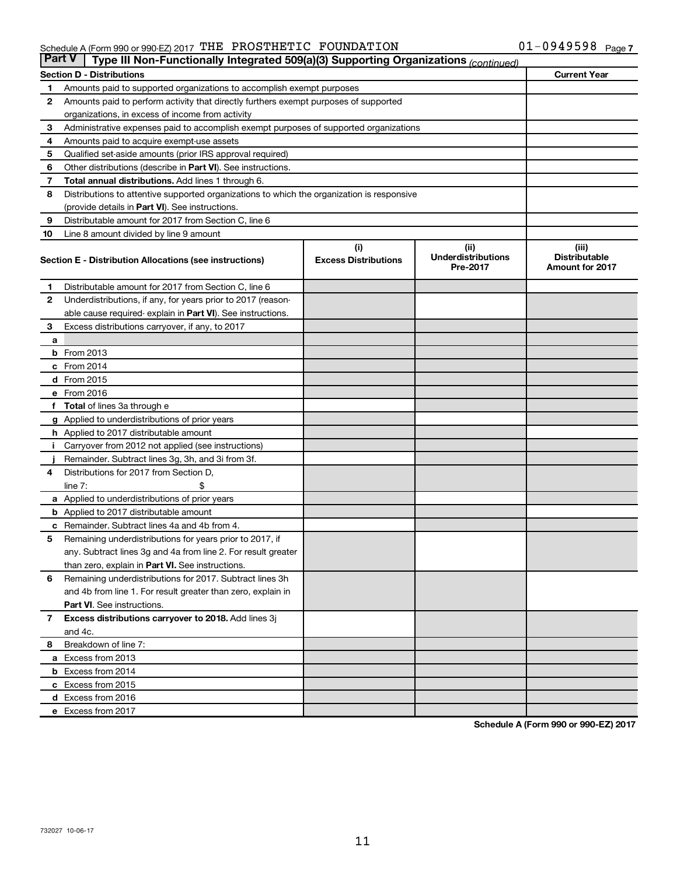### Schedule A (Form 990 or 990-EZ) 2017  $\,$  THE PROSTHETIC FOUNDATION  $\,$  01  $-$  0949598  $\,$   $_{\rm{Page}}$

|              | <b>Part V</b><br>Type III Non-Functionally Integrated 509(a)(3) Supporting Organizations (continued) |                             |                                       |                                                |  |  |  |  |  |
|--------------|------------------------------------------------------------------------------------------------------|-----------------------------|---------------------------------------|------------------------------------------------|--|--|--|--|--|
|              | <b>Section D - Distributions</b><br><b>Current Year</b>                                              |                             |                                       |                                                |  |  |  |  |  |
| 1            | Amounts paid to supported organizations to accomplish exempt purposes                                |                             |                                       |                                                |  |  |  |  |  |
| 2            | Amounts paid to perform activity that directly furthers exempt purposes of supported                 |                             |                                       |                                                |  |  |  |  |  |
|              | organizations, in excess of income from activity                                                     |                             |                                       |                                                |  |  |  |  |  |
| 3            | Administrative expenses paid to accomplish exempt purposes of supported organizations                |                             |                                       |                                                |  |  |  |  |  |
| 4            | Amounts paid to acquire exempt-use assets                                                            |                             |                                       |                                                |  |  |  |  |  |
| 5            | Qualified set-aside amounts (prior IRS approval required)                                            |                             |                                       |                                                |  |  |  |  |  |
| 6            | Other distributions (describe in Part VI). See instructions.                                         |                             |                                       |                                                |  |  |  |  |  |
| 7            | Total annual distributions. Add lines 1 through 6.                                                   |                             |                                       |                                                |  |  |  |  |  |
| 8            | Distributions to attentive supported organizations to which the organization is responsive           |                             |                                       |                                                |  |  |  |  |  |
|              | (provide details in Part VI). See instructions.                                                      |                             |                                       |                                                |  |  |  |  |  |
| 9            | Distributable amount for 2017 from Section C, line 6                                                 |                             |                                       |                                                |  |  |  |  |  |
| 10           | Line 8 amount divided by line 9 amount                                                               |                             |                                       |                                                |  |  |  |  |  |
|              |                                                                                                      | (i)                         | (ii)                                  | (iii)                                          |  |  |  |  |  |
|              | Section E - Distribution Allocations (see instructions)                                              | <b>Excess Distributions</b> | <b>Underdistributions</b><br>Pre-2017 | <b>Distributable</b><br><b>Amount for 2017</b> |  |  |  |  |  |
| 1            | Distributable amount for 2017 from Section C, line 6                                                 |                             |                                       |                                                |  |  |  |  |  |
| 2            | Underdistributions, if any, for years prior to 2017 (reason-                                         |                             |                                       |                                                |  |  |  |  |  |
|              | able cause required- explain in Part VI). See instructions.                                          |                             |                                       |                                                |  |  |  |  |  |
| 3            | Excess distributions carryover, if any, to 2017                                                      |                             |                                       |                                                |  |  |  |  |  |
| a            |                                                                                                      |                             |                                       |                                                |  |  |  |  |  |
|              | <b>b</b> From 2013                                                                                   |                             |                                       |                                                |  |  |  |  |  |
|              | c From 2014                                                                                          |                             |                                       |                                                |  |  |  |  |  |
|              | d From 2015                                                                                          |                             |                                       |                                                |  |  |  |  |  |
|              | e From 2016                                                                                          |                             |                                       |                                                |  |  |  |  |  |
| f            | <b>Total</b> of lines 3a through e                                                                   |                             |                                       |                                                |  |  |  |  |  |
|              | <b>g</b> Applied to underdistributions of prior years                                                |                             |                                       |                                                |  |  |  |  |  |
|              | <b>h</b> Applied to 2017 distributable amount                                                        |                             |                                       |                                                |  |  |  |  |  |
|              | Carryover from 2012 not applied (see instructions)                                                   |                             |                                       |                                                |  |  |  |  |  |
|              | Remainder. Subtract lines 3g, 3h, and 3i from 3f.                                                    |                             |                                       |                                                |  |  |  |  |  |
| 4            | Distributions for 2017 from Section D,                                                               |                             |                                       |                                                |  |  |  |  |  |
|              | line $7:$                                                                                            |                             |                                       |                                                |  |  |  |  |  |
|              | a Applied to underdistributions of prior years                                                       |                             |                                       |                                                |  |  |  |  |  |
|              | <b>b</b> Applied to 2017 distributable amount                                                        |                             |                                       |                                                |  |  |  |  |  |
| с            | Remainder. Subtract lines 4a and 4b from 4.                                                          |                             |                                       |                                                |  |  |  |  |  |
| 5            | Remaining underdistributions for years prior to 2017, if                                             |                             |                                       |                                                |  |  |  |  |  |
|              | any. Subtract lines 3g and 4a from line 2. For result greater                                        |                             |                                       |                                                |  |  |  |  |  |
|              | than zero, explain in Part VI. See instructions.                                                     |                             |                                       |                                                |  |  |  |  |  |
| 6            | Remaining underdistributions for 2017. Subtract lines 3h                                             |                             |                                       |                                                |  |  |  |  |  |
|              | and 4b from line 1. For result greater than zero, explain in                                         |                             |                                       |                                                |  |  |  |  |  |
|              | <b>Part VI.</b> See instructions.                                                                    |                             |                                       |                                                |  |  |  |  |  |
| $\mathbf{7}$ | Excess distributions carryover to 2018. Add lines 3j                                                 |                             |                                       |                                                |  |  |  |  |  |
|              | and 4c.                                                                                              |                             |                                       |                                                |  |  |  |  |  |
| 8            | Breakdown of line 7:                                                                                 |                             |                                       |                                                |  |  |  |  |  |
|              | a Excess from 2013                                                                                   |                             |                                       |                                                |  |  |  |  |  |
|              | <b>b</b> Excess from 2014                                                                            |                             |                                       |                                                |  |  |  |  |  |
|              | c Excess from 2015                                                                                   |                             |                                       |                                                |  |  |  |  |  |
|              | d Excess from 2016                                                                                   |                             |                                       |                                                |  |  |  |  |  |
|              | e Excess from 2017                                                                                   |                             |                                       |                                                |  |  |  |  |  |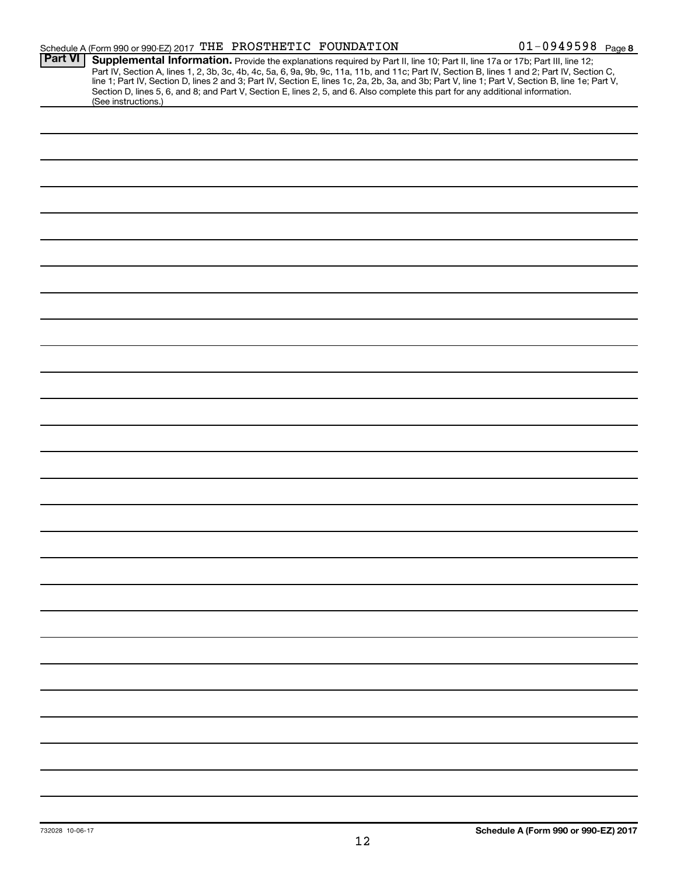|                | Schedule A (Form 990 or 990-EZ) 2017 THE PROSTHETIC FOUNDATION                                                                                                                                                                                                                                                                                                                                                                                                                                                                                                       | $01 - 0949598$ Page 8 |
|----------------|----------------------------------------------------------------------------------------------------------------------------------------------------------------------------------------------------------------------------------------------------------------------------------------------------------------------------------------------------------------------------------------------------------------------------------------------------------------------------------------------------------------------------------------------------------------------|-----------------------|
| <b>Part VI</b> | Supplemental Information. Provide the explanations required by Part II, line 10; Part II, line 17a or 17b; Part III, line 12;<br>Part IV, Section A, lines 1, 2, 3b, 3c, 4b, 4c, 5a, 6, 9a, 9b, 9c, 11a, 11b, and 11c; Part IV, Section B, lines 1 and 2; Part IV, Section C,<br>line 1; Part IV, Section D, lines 2 and 3; Part IV, Section E, lines 1c, 2a, 2b, 3a, and 3b; Part V, line 1; Part V, Section B, line 1e; Part V,<br>Section D, lines 5, 6, and 8; and Part V, Section E, lines 2, 5, and 6. Also complete this part for any additional information. |                       |
|                | (See instructions.)                                                                                                                                                                                                                                                                                                                                                                                                                                                                                                                                                  |                       |
|                |                                                                                                                                                                                                                                                                                                                                                                                                                                                                                                                                                                      |                       |
|                |                                                                                                                                                                                                                                                                                                                                                                                                                                                                                                                                                                      |                       |
|                |                                                                                                                                                                                                                                                                                                                                                                                                                                                                                                                                                                      |                       |
|                |                                                                                                                                                                                                                                                                                                                                                                                                                                                                                                                                                                      |                       |
|                |                                                                                                                                                                                                                                                                                                                                                                                                                                                                                                                                                                      |                       |
|                |                                                                                                                                                                                                                                                                                                                                                                                                                                                                                                                                                                      |                       |
|                |                                                                                                                                                                                                                                                                                                                                                                                                                                                                                                                                                                      |                       |
|                |                                                                                                                                                                                                                                                                                                                                                                                                                                                                                                                                                                      |                       |
|                |                                                                                                                                                                                                                                                                                                                                                                                                                                                                                                                                                                      |                       |
|                |                                                                                                                                                                                                                                                                                                                                                                                                                                                                                                                                                                      |                       |
|                |                                                                                                                                                                                                                                                                                                                                                                                                                                                                                                                                                                      |                       |
|                |                                                                                                                                                                                                                                                                                                                                                                                                                                                                                                                                                                      |                       |
|                |                                                                                                                                                                                                                                                                                                                                                                                                                                                                                                                                                                      |                       |
|                |                                                                                                                                                                                                                                                                                                                                                                                                                                                                                                                                                                      |                       |
|                |                                                                                                                                                                                                                                                                                                                                                                                                                                                                                                                                                                      |                       |
|                |                                                                                                                                                                                                                                                                                                                                                                                                                                                                                                                                                                      |                       |
|                |                                                                                                                                                                                                                                                                                                                                                                                                                                                                                                                                                                      |                       |
|                |                                                                                                                                                                                                                                                                                                                                                                                                                                                                                                                                                                      |                       |
|                |                                                                                                                                                                                                                                                                                                                                                                                                                                                                                                                                                                      |                       |
|                |                                                                                                                                                                                                                                                                                                                                                                                                                                                                                                                                                                      |                       |
|                |                                                                                                                                                                                                                                                                                                                                                                                                                                                                                                                                                                      |                       |
|                |                                                                                                                                                                                                                                                                                                                                                                                                                                                                                                                                                                      |                       |
|                |                                                                                                                                                                                                                                                                                                                                                                                                                                                                                                                                                                      |                       |
|                |                                                                                                                                                                                                                                                                                                                                                                                                                                                                                                                                                                      |                       |
|                |                                                                                                                                                                                                                                                                                                                                                                                                                                                                                                                                                                      |                       |
|                |                                                                                                                                                                                                                                                                                                                                                                                                                                                                                                                                                                      |                       |
|                |                                                                                                                                                                                                                                                                                                                                                                                                                                                                                                                                                                      |                       |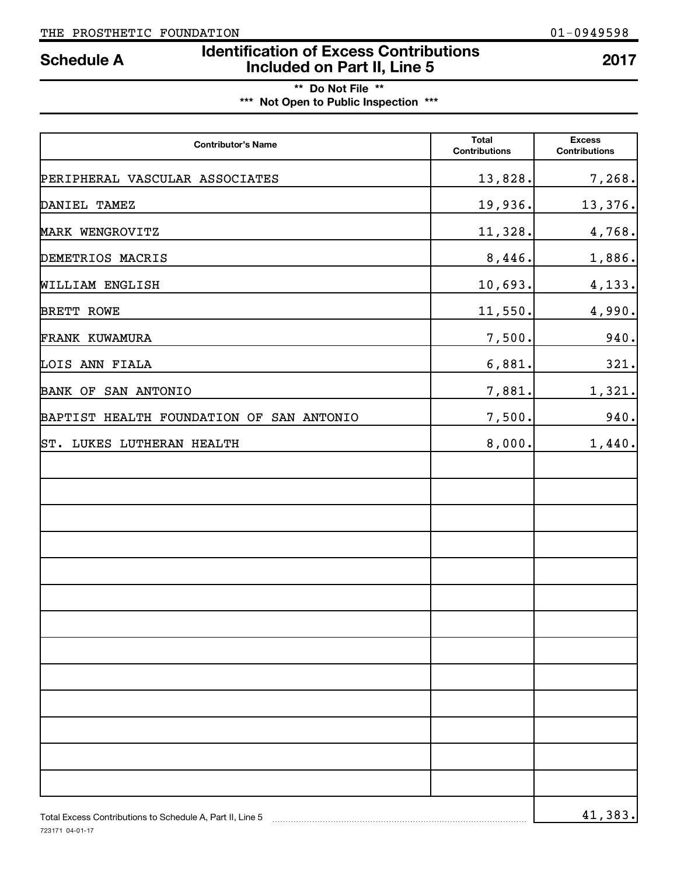723171 04-01-17

### **Identification of Excess Contributions IDENTIFY Schedule A IDENTIFY Schedule A 100 Included on Part II, Line 5 2017**

| ** Do Not File **                     |  |
|---------------------------------------|--|
| *** Not Open to Public Inspection *** |  |

| <b>Contributor's Name</b>                                 | <b>Total</b><br><b>Contributions</b> | <b>Excess</b><br><b>Contributions</b> |
|-----------------------------------------------------------|--------------------------------------|---------------------------------------|
| PERIPHERAL VASCULAR ASSOCIATES                            | 13,828.                              | 7, 268.                               |
| DANIEL TAMEZ                                              | 19,936.                              | 13,376.                               |
| MARK WENGROVITZ                                           | 11,328.                              | 4,768.                                |
| DEMETRIOS MACRIS                                          | 8,446.                               | 1,886.                                |
| WILLIAM ENGLISH                                           | 10,693.                              | 4,133.                                |
| BRETT ROWE                                                | 11,550.                              | 4,990.                                |
| FRANK KUWAMURA                                            | 7,500.                               | 940.                                  |
| LOIS ANN FIALA                                            | 6,881.                               | 321.                                  |
| BANK OF SAN ANTONIO                                       | 7,881.                               | 1,321.                                |
| BAPTIST HEALTH FOUNDATION OF SAN ANTONIO                  | 7,500.                               | 940.                                  |
| ST. LUKES LUTHERAN HEALTH                                 | 8,000.                               | 1,440.                                |
|                                                           |                                      |                                       |
|                                                           |                                      |                                       |
|                                                           |                                      |                                       |
|                                                           |                                      |                                       |
|                                                           |                                      |                                       |
|                                                           |                                      |                                       |
|                                                           |                                      |                                       |
|                                                           |                                      |                                       |
|                                                           |                                      |                                       |
|                                                           |                                      |                                       |
|                                                           |                                      |                                       |
|                                                           |                                      |                                       |
|                                                           |                                      |                                       |
| Total Excess Contributions to Schedule A, Part II, Line 5 |                                      | 41,383.                               |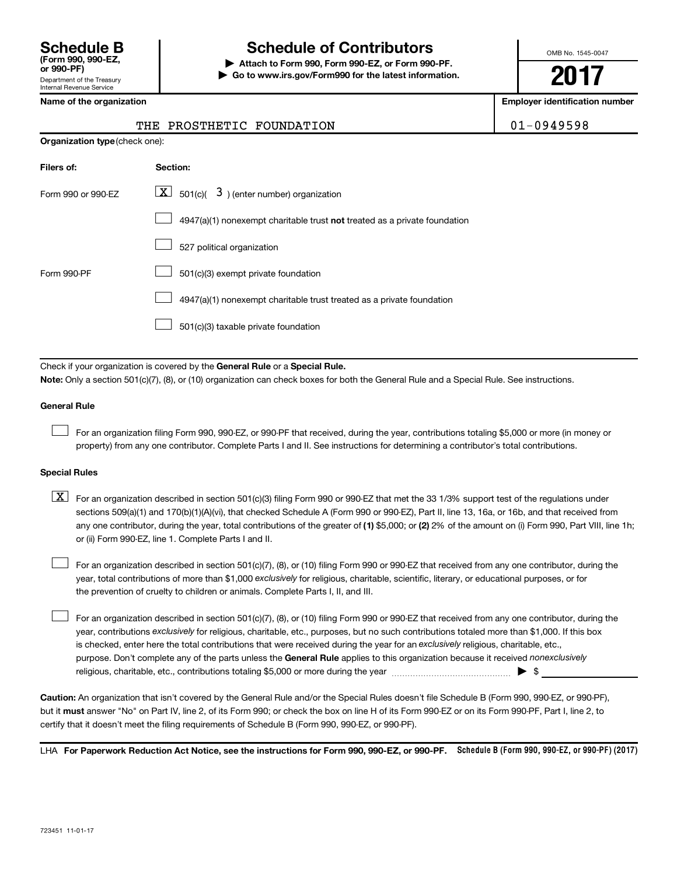### **Schedule B Schedule of Contributors**

**or 990-PF) | Attach to Form 990, Form 990-EZ, or Form 990-PF. | Go to www.irs.gov/Form990 for the latest information.** OMB No. 1545-0047

**2017**

**Employer identification number** 

|  | Name of the organization |
|--|--------------------------|
|--|--------------------------|

| THE PROSTHETIC FOUNDATION | 01-0949598 |
|---------------------------|------------|
|                           |            |

| <b>Organization type (check one):</b> |                                                                           |  |  |
|---------------------------------------|---------------------------------------------------------------------------|--|--|
| Filers of:                            | Section:                                                                  |  |  |
| Form 990 or 990-EZ                    | $\underline{\mathbf{X}}$ 501(c)( 3) (enter number) organization           |  |  |
|                                       | 4947(a)(1) nonexempt charitable trust not treated as a private foundation |  |  |
|                                       | 527 political organization                                                |  |  |
| Form 990-PF                           | 501(c)(3) exempt private foundation                                       |  |  |
|                                       | 4947(a)(1) nonexempt charitable trust treated as a private foundation     |  |  |
|                                       | 501(c)(3) taxable private foundation                                      |  |  |

Check if your organization is covered by the General Rule or a Special Rule.

**Note:**  Only a section 501(c)(7), (8), or (10) organization can check boxes for both the General Rule and a Special Rule. See instructions.

#### **General Rule**

 $\Box$ 

For an organization filing Form 990, 990-EZ, or 990-PF that received, during the year, contributions totaling \$5,000 or more (in money or property) from any one contributor. Complete Parts I and II. See instructions for determining a contributor's total contributions.

#### **Special Rules**

any one contributor, during the year, total contributions of the greater of (1) \$5,000; or (2) 2% of the amount on (i) Form 990, Part VIII, line 1h;  $\boxed{\text{X}}$  For an organization described in section 501(c)(3) filing Form 990 or 990-EZ that met the 33 1/3% support test of the regulations under sections 509(a)(1) and 170(b)(1)(A)(vi), that checked Schedule A (Form 990 or 990-EZ), Part II, line 13, 16a, or 16b, and that received from or (ii) Form 990-EZ, line 1. Complete Parts I and II.

year, total contributions of more than \$1,000 *exclusively* for religious, charitable, scientific, literary, or educational purposes, or for For an organization described in section 501(c)(7), (8), or (10) filing Form 990 or 990-EZ that received from any one contributor, during the the prevention of cruelty to children or animals. Complete Parts I, II, and III.  $\Box$ 

purpose. Don't complete any of the parts unless the General Rule applies to this organization because it received nonexclusively year, contributions exclusively for religious, charitable, etc., purposes, but no such contributions totaled more than \$1,000. If this box is checked, enter here the total contributions that were received during the year for an exclusively religious, charitable, etc., For an organization described in section 501(c)(7), (8), or (10) filing Form 990 or 990-EZ that received from any one contributor, during the religious, charitable, etc., contributions totaling \$5,000 or more during the year  $\ldots$  $\ldots$  $\ldots$  $\ldots$  $\ldots$  $\ldots$  $\Box$ 

**Caution:**  An organization that isn't covered by the General Rule and/or the Special Rules doesn't file Schedule B (Form 990, 990-EZ, or 990-PF),  **must** but it answer "No" on Part IV, line 2, of its Form 990; or check the box on line H of its Form 990-EZ or on its Form 990-PF, Part I, line 2, to certify that it doesn't meet the filing requirements of Schedule B (Form 990, 990-EZ, or 990-PF).

LHA For Paperwork Reduction Act Notice, see the instructions for Form 990, 990-EZ, or 990-PF. Schedule B (Form 990, 990-EZ, or 990-PF) (2017)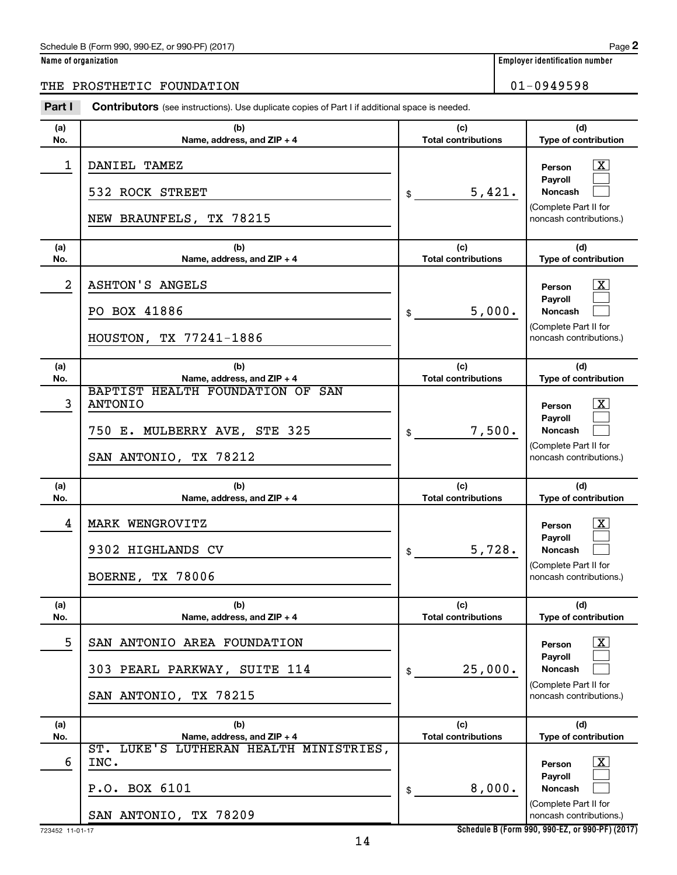#### Schedule B (Form 990, 990-EZ, or 990-PF) (2017)

|  | Name of organization |  |
|--|----------------------|--|
|  |                      |  |

### THE PROSTHETIC FOUNDATION 01-0949598

| Part I     | <b>Contributors</b> (see instructions). Use duplicate copies of Part I if additional space is needed.                                     |                                   |                                                                                                                                          |
|------------|-------------------------------------------------------------------------------------------------------------------------------------------|-----------------------------------|------------------------------------------------------------------------------------------------------------------------------------------|
| (a)<br>No. | (b)<br>Name, address, and ZIP + 4                                                                                                         | (c)<br><b>Total contributions</b> | (d)<br>Type of contribution                                                                                                              |
| 1          | DANIEL TAMEZ<br>532 ROCK STREET<br>NEW BRAUNFELS, TX 78215                                                                                | 5,421.<br>\$                      | <u>x</u><br>Person<br>Pavroll<br><b>Noncash</b><br>(Complete Part II for<br>noncash contributions.)                                      |
| (a)<br>No. | (b)<br>Name, address, and ZIP + 4                                                                                                         | (c)<br><b>Total contributions</b> | (d)<br>Type of contribution                                                                                                              |
| 2          | <b>ASHTON'S ANGELS</b><br>PO BOX 41886<br>HOUSTON, TX 77241-1886                                                                          | 5,000.<br>\$                      | $\overline{\text{X}}$<br>Person<br>Payroll<br><b>Noncash</b><br>(Complete Part II for<br>noncash contributions.)                         |
| (a)<br>No. | (b)                                                                                                                                       | (c)<br><b>Total contributions</b> | (d)                                                                                                                                      |
| 3          | Name, address, and ZIP + 4<br>BAPTIST HEALTH FOUNDATION OF SAN<br><b>ANTONIO</b><br>750 E. MULBERRY AVE, STE 325<br>SAN ANTONIO, TX 78212 | 7,500.<br>\$                      | Type of contribution<br>$\overline{\text{X}}$<br>Person<br>Payroll<br><b>Noncash</b><br>(Complete Part II for<br>noncash contributions.) |
| (a)<br>No. | (b)                                                                                                                                       | (c)<br><b>Total contributions</b> | (d)                                                                                                                                      |
| 4          | Name, address, and ZIP + 4<br>MARK WENGROVITZ<br>9302 HIGHLANDS CV<br><b>BOERNE, TX 78006</b>                                             | 5,728.<br>\$                      | Type of contribution<br>$\mathbf{X}$<br>Person<br>Payroll<br><b>Noncash</b><br>(Complete Part II for<br>noncash contributions.)          |
| (a)<br>No. | (b)<br>Name, address, and ZIP + 4                                                                                                         | (c)<br><b>Total contributions</b> | (d)<br>Type of contribution                                                                                                              |
| 5          | SAN ANTONIO AREA FOUNDATION<br>303 PEARL PARKWAY, SUITE 114<br>SAN ANTONIO, TX 78215                                                      | 25,000.<br>\$                     | <u>x</u><br>Person<br>Payroll<br><b>Noncash</b><br>(Complete Part II for<br>noncash contributions.)                                      |
| (a)        | (b)                                                                                                                                       | (c)<br><b>Total contributions</b> | (d)<br>Type of contribution                                                                                                              |
| No.<br>6   | Name, address, and ZIP + 4<br>ST. LUKE'S LUTHERAN HEALTH MINISTRIES,<br>INC.                                                              |                                   | <u>x</u><br>Person<br><b>Payroll</b>                                                                                                     |
|            | P.O. BOX 6101<br>SAN ANTONIO, TX 78209                                                                                                    | 8,000.<br>\$                      | <b>Noncash</b><br>(Complete Part II for<br>noncash contributions.)                                                                       |

**Schedule B (Form 990, 990-EZ, or 990-PF) (2017)**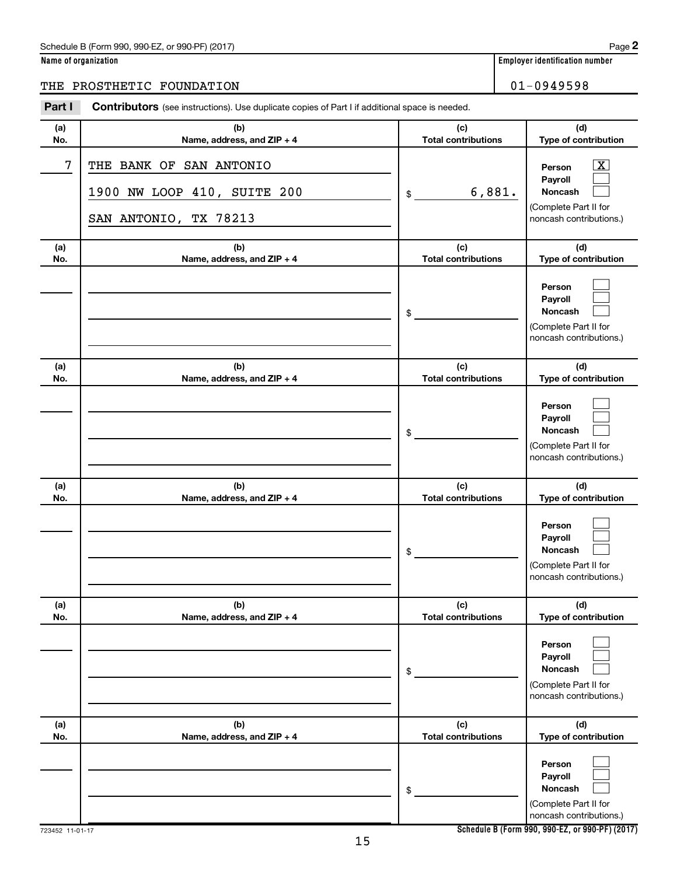### Schedule B (Form 990, 990-EZ, or 990-PF) (2017)

|  | Name of organization |  |
|--|----------------------|--|
|  |                      |  |

### THE PROSTHETIC FOUNDATION 01-0949598

| Part I     | <b>Contributors</b> (see instructions). Use duplicate copies of Part I if additional space is needed. |                                   |                                                                                                  |
|------------|-------------------------------------------------------------------------------------------------------|-----------------------------------|--------------------------------------------------------------------------------------------------|
| (a)<br>No. | (b)<br>Name, address, and ZIP + 4                                                                     | (c)<br><b>Total contributions</b> | (d)<br>Type of contribution                                                                      |
| 7          | THE BANK OF SAN ANTONIO<br>1900 NW LOOP 410, SUITE 200<br>SAN ANTONIO, TX 78213                       | 6,881.<br>\$                      | $\mathbf{X}$<br>Person<br>Payroll<br>Noncash<br>(Complete Part II for<br>noncash contributions.) |
| (a)<br>No. | (b)<br>Name, address, and ZIP + 4                                                                     | (c)<br><b>Total contributions</b> | (d)<br>Type of contribution                                                                      |
|            |                                                                                                       | \$                                | Person<br>Payroll<br>Noncash<br>(Complete Part II for<br>noncash contributions.)                 |
| (a)<br>No. | (b)<br>Name, address, and ZIP + 4                                                                     | (c)<br><b>Total contributions</b> | (d)<br>Type of contribution                                                                      |
|            |                                                                                                       | \$                                | Person<br>Payroll<br>Noncash<br>(Complete Part II for<br>noncash contributions.)                 |
| (a)<br>No. | (b)<br>Name, address, and ZIP + 4                                                                     | (c)<br><b>Total contributions</b> | (d)<br>Type of contribution                                                                      |
|            |                                                                                                       | \$                                | Person<br>Payroll<br>Noncash<br>(Complete Part II for<br>noncash contributions.)                 |
| (a)<br>No. | (b)<br>Name, address, and ZIP + 4                                                                     | (c)<br><b>Total contributions</b> | (d)<br>Type of contribution                                                                      |
|            |                                                                                                       | \$                                | Person<br>Payroll<br><b>Noncash</b><br>(Complete Part II for<br>noncash contributions.)          |
| (a)<br>No. | (b)<br>Name, address, and ZIP + 4                                                                     | (c)<br><b>Total contributions</b> | (d)<br>Type of contribution                                                                      |
|            |                                                                                                       | \$                                | Person<br>Payroll<br>Noncash<br>(Complete Part II for<br>noncash contributions.)                 |

**Schedule B (Form 990, 990-EZ, or 990-PF) (2017)**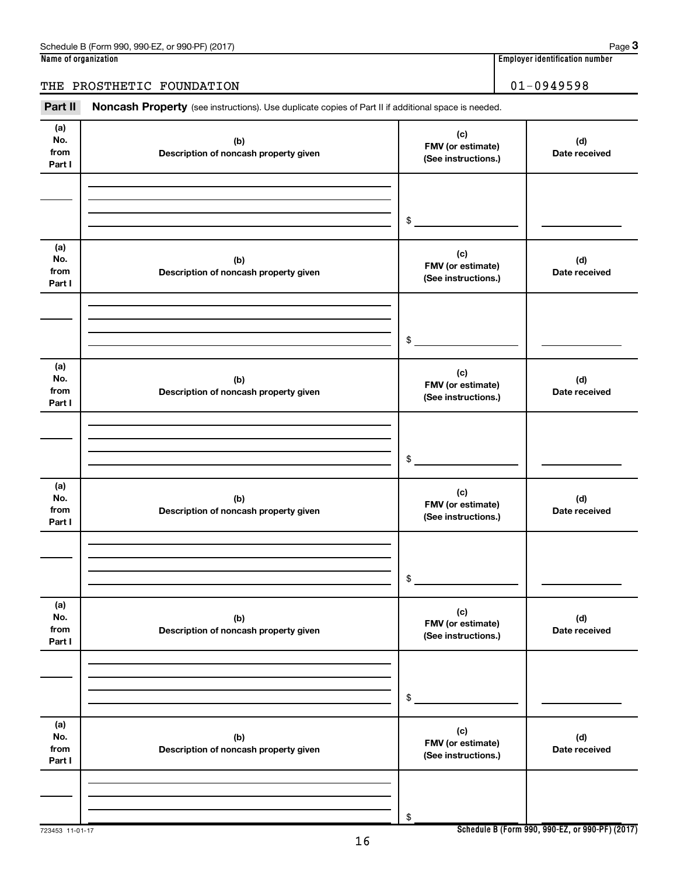### THE PROSTHETIC FOUNDATION 01-0949598

Part II Noncash Property (see instructions). Use duplicate copies of Part II if additional space is needed.

| (a)<br>No.<br>from<br>Part I | (b)<br>Description of noncash property given | (c)<br>FMV (or estimate)<br>(See instructions.) | (d)<br>Date received |
|------------------------------|----------------------------------------------|-------------------------------------------------|----------------------|
|                              |                                              |                                                 |                      |
|                              |                                              |                                                 |                      |
|                              |                                              | $\,$                                            |                      |
| (a)<br>No.<br>from<br>Part I | (b)<br>Description of noncash property given | (c)<br>FMV (or estimate)<br>(See instructions.) | (d)<br>Date received |
|                              |                                              |                                                 |                      |
|                              |                                              |                                                 |                      |
|                              |                                              | $\,$                                            |                      |
| (a)<br>No.<br>from<br>Part I | (b)<br>Description of noncash property given | (c)<br>FMV (or estimate)<br>(See instructions.) | (d)<br>Date received |
|                              |                                              |                                                 |                      |
|                              |                                              |                                                 |                      |
|                              |                                              | \$                                              |                      |
| (a)<br>No.<br>from<br>Part I | (b)<br>Description of noncash property given | (c)<br>FMV (or estimate)<br>(See instructions.) | (d)<br>Date received |
|                              |                                              |                                                 |                      |
|                              |                                              |                                                 |                      |
|                              |                                              | $\$$                                            |                      |
| (a)<br>No.<br>from<br>Part I | (b)<br>Description of noncash property given | (c)<br>FMV (or estimate)<br>(See instructions.) | (d)<br>Date received |
|                              |                                              |                                                 |                      |
|                              |                                              |                                                 |                      |
|                              |                                              | $\$$                                            |                      |
| (a)<br>No.<br>from<br>Part I | (b)<br>Description of noncash property given | (c)<br>FMV (or estimate)<br>(See instructions.) | (d)<br>Date received |
|                              |                                              |                                                 |                      |
|                              |                                              |                                                 |                      |
|                              |                                              | \$                                              |                      |

**Schedule B (Form 990, 990-EZ, or 990-PF) (2017)**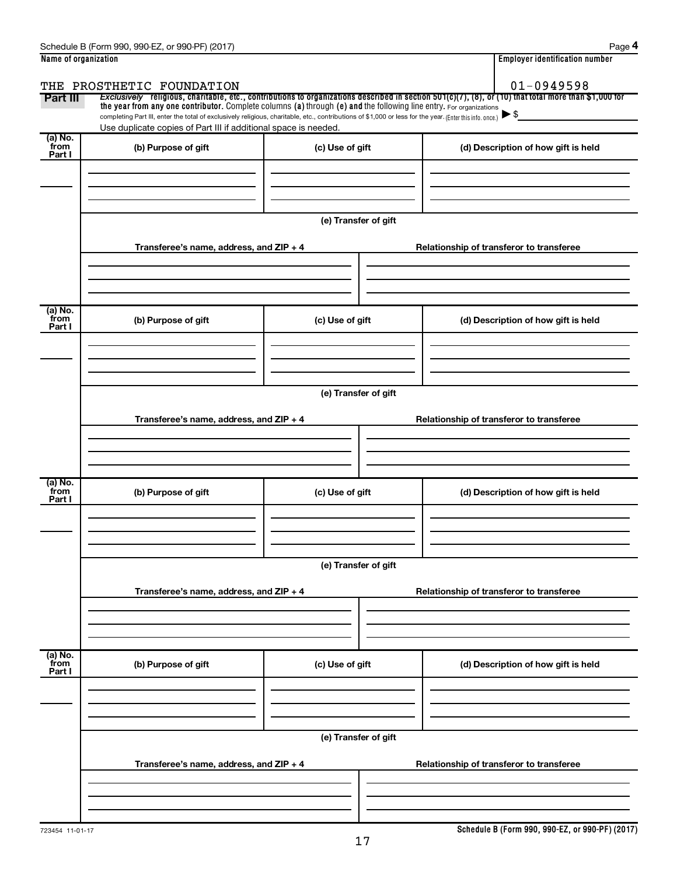| Name of organization |                                                                                                                                                          | <b>Employer identification number</b> |                                                                                                                                                       |  |  |
|----------------------|----------------------------------------------------------------------------------------------------------------------------------------------------------|---------------------------------------|-------------------------------------------------------------------------------------------------------------------------------------------------------|--|--|
|                      | THE PROSTHETIC FOUNDATION                                                                                                                                | $01 - 0949598$                        |                                                                                                                                                       |  |  |
| Part III             | the year from any one contributor. Complete columns (a) through (e) and the following line entry. For organizations                                      |                                       | Exclusively religious, charitable, etc., contributions to organizations described in section 501(c)(7), (8), or (10) that total more than \$1,000 for |  |  |
|                      | completing Part III, enter the total of exclusively religious, charitable, etc., contributions of \$1,000 or less for the year. (Enter this info. once.) |                                       |                                                                                                                                                       |  |  |
| (a) No.              | Use duplicate copies of Part III if additional space is needed.                                                                                          |                                       |                                                                                                                                                       |  |  |
| from<br>Part I       | (b) Purpose of gift                                                                                                                                      | (c) Use of gift                       | (d) Description of how gift is held                                                                                                                   |  |  |
|                      |                                                                                                                                                          |                                       |                                                                                                                                                       |  |  |
|                      |                                                                                                                                                          |                                       |                                                                                                                                                       |  |  |
|                      |                                                                                                                                                          |                                       |                                                                                                                                                       |  |  |
|                      |                                                                                                                                                          | (e) Transfer of gift                  |                                                                                                                                                       |  |  |
|                      |                                                                                                                                                          |                                       |                                                                                                                                                       |  |  |
|                      | Transferee's name, address, and ZIP + 4                                                                                                                  |                                       | Relationship of transferor to transferee                                                                                                              |  |  |
|                      |                                                                                                                                                          |                                       |                                                                                                                                                       |  |  |
|                      |                                                                                                                                                          |                                       |                                                                                                                                                       |  |  |
| (a) No.              |                                                                                                                                                          |                                       |                                                                                                                                                       |  |  |
| from<br>Part I       | (b) Purpose of gift                                                                                                                                      | (c) Use of gift                       | (d) Description of how gift is held                                                                                                                   |  |  |
|                      |                                                                                                                                                          |                                       |                                                                                                                                                       |  |  |
|                      |                                                                                                                                                          |                                       |                                                                                                                                                       |  |  |
|                      |                                                                                                                                                          |                                       |                                                                                                                                                       |  |  |
|                      | (e) Transfer of gift                                                                                                                                     |                                       |                                                                                                                                                       |  |  |
|                      |                                                                                                                                                          |                                       |                                                                                                                                                       |  |  |
|                      | Transferee's name, address, and ZIP + 4                                                                                                                  |                                       | Relationship of transferor to transferee                                                                                                              |  |  |
|                      |                                                                                                                                                          |                                       |                                                                                                                                                       |  |  |
|                      |                                                                                                                                                          |                                       |                                                                                                                                                       |  |  |
| (a) No.              |                                                                                                                                                          |                                       |                                                                                                                                                       |  |  |
| from<br>Part I       | (b) Purpose of gift                                                                                                                                      | (c) Use of gift                       | (d) Description of how gift is held                                                                                                                   |  |  |
|                      |                                                                                                                                                          |                                       |                                                                                                                                                       |  |  |
|                      |                                                                                                                                                          |                                       |                                                                                                                                                       |  |  |
|                      |                                                                                                                                                          |                                       |                                                                                                                                                       |  |  |
|                      | (e) Transfer of gift                                                                                                                                     |                                       |                                                                                                                                                       |  |  |
|                      |                                                                                                                                                          |                                       | Relationship of transferor to transferee                                                                                                              |  |  |
|                      | Transferee's name, address, and ZIP + 4                                                                                                                  |                                       |                                                                                                                                                       |  |  |
|                      |                                                                                                                                                          |                                       |                                                                                                                                                       |  |  |
|                      |                                                                                                                                                          |                                       |                                                                                                                                                       |  |  |
| (a) No.<br>from      |                                                                                                                                                          |                                       |                                                                                                                                                       |  |  |
| Part I               | (b) Purpose of gift                                                                                                                                      | (c) Use of gift                       | (d) Description of how gift is held                                                                                                                   |  |  |
|                      |                                                                                                                                                          |                                       |                                                                                                                                                       |  |  |
|                      |                                                                                                                                                          |                                       |                                                                                                                                                       |  |  |
|                      |                                                                                                                                                          |                                       |                                                                                                                                                       |  |  |
|                      |                                                                                                                                                          | (e) Transfer of gift                  |                                                                                                                                                       |  |  |
|                      | Transferee's name, address, and ZIP + 4<br>Relationship of transferor to transferee                                                                      |                                       |                                                                                                                                                       |  |  |
|                      |                                                                                                                                                          |                                       |                                                                                                                                                       |  |  |
|                      |                                                                                                                                                          |                                       |                                                                                                                                                       |  |  |
|                      |                                                                                                                                                          |                                       |                                                                                                                                                       |  |  |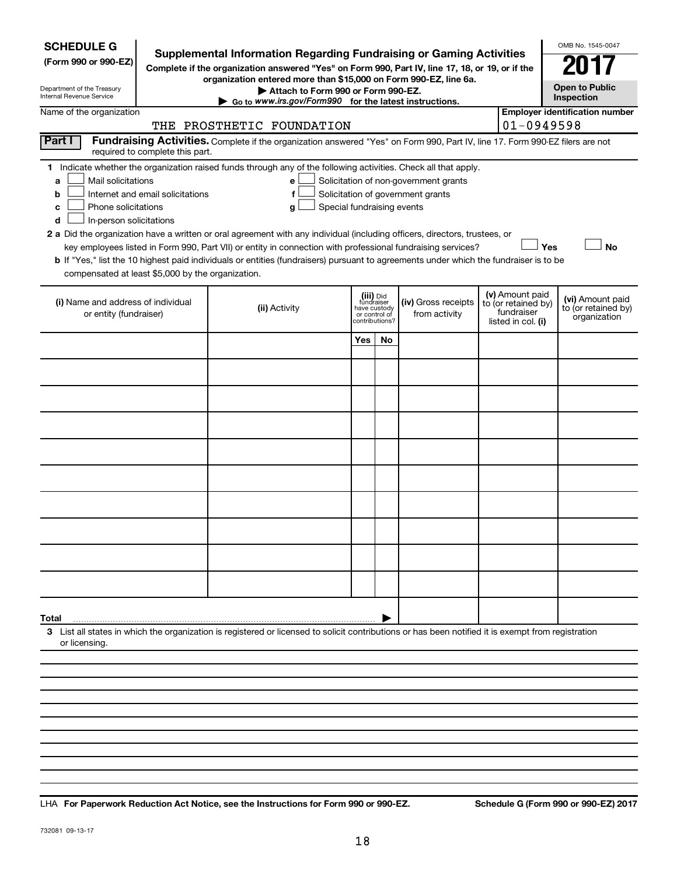| <b>SCHEDULE G</b><br>(Form 990 or 990-EZ)<br>Department of the Treasury<br>Internal Revenue Service                                                                                                                                                                                                                                                                                                                                                                                                                                                                                                                                                                                        | <b>Supplemental Information Regarding Fundraising or Gaming Activities</b><br>Complete if the organization answered "Yes" on Form 990, Part IV, line 17, 18, or 19, or if the<br>organization entered more than \$15,000 on Form 990-EZ, line 6a.<br>Attach to Form 990 or Form 990-EZ.<br>Go to www.irs.gov/Form990 for the latest instructions. |     |     |                                                                            |  |                                                         | OMB No. 1545-0047<br><b>Open to Public</b><br>Inspection |  |
|--------------------------------------------------------------------------------------------------------------------------------------------------------------------------------------------------------------------------------------------------------------------------------------------------------------------------------------------------------------------------------------------------------------------------------------------------------------------------------------------------------------------------------------------------------------------------------------------------------------------------------------------------------------------------------------------|---------------------------------------------------------------------------------------------------------------------------------------------------------------------------------------------------------------------------------------------------------------------------------------------------------------------------------------------------|-----|-----|----------------------------------------------------------------------------|--|---------------------------------------------------------|----------------------------------------------------------|--|
| Name of the organization                                                                                                                                                                                                                                                                                                                                                                                                                                                                                                                                                                                                                                                                   | THE PROSTHETIC FOUNDATION                                                                                                                                                                                                                                                                                                                         |     |     |                                                                            |  | $01 - 0949598$                                          | <b>Employer identification number</b>                    |  |
| Part I<br>required to complete this part.                                                                                                                                                                                                                                                                                                                                                                                                                                                                                                                                                                                                                                                  | Fundraising Activities. Complete if the organization answered "Yes" on Form 990, Part IV, line 17. Form 990-EZ filers are not                                                                                                                                                                                                                     |     |     |                                                                            |  |                                                         |                                                          |  |
| 1 Indicate whether the organization raised funds through any of the following activities. Check all that apply.<br>Mail solicitations<br>a<br>Internet and email solicitations<br>b<br>Phone solicitations<br>с<br>In-person solicitations<br>d<br>2 a Did the organization have a written or oral agreement with any individual (including officers, directors, trustees, or<br>key employees listed in Form 990, Part VII) or entity in connection with professional fundraising services?<br>b If "Yes," list the 10 highest paid individuals or entities (fundraisers) pursuant to agreements under which the fundraiser is to be<br>compensated at least \$5,000 by the organization. | e<br>f<br>Special fundraising events<br>g                                                                                                                                                                                                                                                                                                         |     |     | Solicitation of non-government grants<br>Solicitation of government grants |  |                                                         | Yes<br><b>No</b>                                         |  |
| (i) Name and address of individual<br>or entity (fundraiser)                                                                                                                                                                                                                                                                                                                                                                                                                                                                                                                                                                                                                               | (v) Amount paid<br>(iii) Did<br>(iv) Gross receipts<br>fundraiser<br>have custody<br>to (or retained by)<br>(ii) Activity<br>fundraiser<br>from activity<br>or control of<br>listed in col. (i)<br>contributions?                                                                                                                                 |     |     |                                                                            |  | (vi) Amount paid<br>to (or retained by)<br>organization |                                                          |  |
|                                                                                                                                                                                                                                                                                                                                                                                                                                                                                                                                                                                                                                                                                            |                                                                                                                                                                                                                                                                                                                                                   | Yes | No. |                                                                            |  |                                                         |                                                          |  |
|                                                                                                                                                                                                                                                                                                                                                                                                                                                                                                                                                                                                                                                                                            |                                                                                                                                                                                                                                                                                                                                                   |     |     |                                                                            |  |                                                         |                                                          |  |
|                                                                                                                                                                                                                                                                                                                                                                                                                                                                                                                                                                                                                                                                                            |                                                                                                                                                                                                                                                                                                                                                   |     |     |                                                                            |  |                                                         |                                                          |  |
|                                                                                                                                                                                                                                                                                                                                                                                                                                                                                                                                                                                                                                                                                            |                                                                                                                                                                                                                                                                                                                                                   |     |     |                                                                            |  |                                                         |                                                          |  |
|                                                                                                                                                                                                                                                                                                                                                                                                                                                                                                                                                                                                                                                                                            |                                                                                                                                                                                                                                                                                                                                                   |     |     |                                                                            |  |                                                         |                                                          |  |
|                                                                                                                                                                                                                                                                                                                                                                                                                                                                                                                                                                                                                                                                                            |                                                                                                                                                                                                                                                                                                                                                   |     |     |                                                                            |  |                                                         |                                                          |  |
|                                                                                                                                                                                                                                                                                                                                                                                                                                                                                                                                                                                                                                                                                            |                                                                                                                                                                                                                                                                                                                                                   |     |     |                                                                            |  |                                                         |                                                          |  |
|                                                                                                                                                                                                                                                                                                                                                                                                                                                                                                                                                                                                                                                                                            |                                                                                                                                                                                                                                                                                                                                                   |     |     |                                                                            |  |                                                         |                                                          |  |
|                                                                                                                                                                                                                                                                                                                                                                                                                                                                                                                                                                                                                                                                                            |                                                                                                                                                                                                                                                                                                                                                   |     |     |                                                                            |  |                                                         |                                                          |  |
|                                                                                                                                                                                                                                                                                                                                                                                                                                                                                                                                                                                                                                                                                            |                                                                                                                                                                                                                                                                                                                                                   |     |     |                                                                            |  |                                                         |                                                          |  |
| Total                                                                                                                                                                                                                                                                                                                                                                                                                                                                                                                                                                                                                                                                                      |                                                                                                                                                                                                                                                                                                                                                   |     |     |                                                                            |  |                                                         |                                                          |  |
| 3 List all states in which the organization is registered or licensed to solicit contributions or has been notified it is exempt from registration<br>or licensing.                                                                                                                                                                                                                                                                                                                                                                                                                                                                                                                        |                                                                                                                                                                                                                                                                                                                                                   |     |     |                                                                            |  |                                                         |                                                          |  |
|                                                                                                                                                                                                                                                                                                                                                                                                                                                                                                                                                                                                                                                                                            |                                                                                                                                                                                                                                                                                                                                                   |     |     |                                                                            |  |                                                         |                                                          |  |
|                                                                                                                                                                                                                                                                                                                                                                                                                                                                                                                                                                                                                                                                                            |                                                                                                                                                                                                                                                                                                                                                   |     |     |                                                                            |  |                                                         |                                                          |  |
|                                                                                                                                                                                                                                                                                                                                                                                                                                                                                                                                                                                                                                                                                            |                                                                                                                                                                                                                                                                                                                                                   |     |     |                                                                            |  |                                                         |                                                          |  |
|                                                                                                                                                                                                                                                                                                                                                                                                                                                                                                                                                                                                                                                                                            |                                                                                                                                                                                                                                                                                                                                                   |     |     |                                                                            |  |                                                         |                                                          |  |

**For Paperwork Reduction Act Notice, see the Instructions for Form 990 or 990-EZ. Schedule G (Form 990 or 990-EZ) 2017** LHA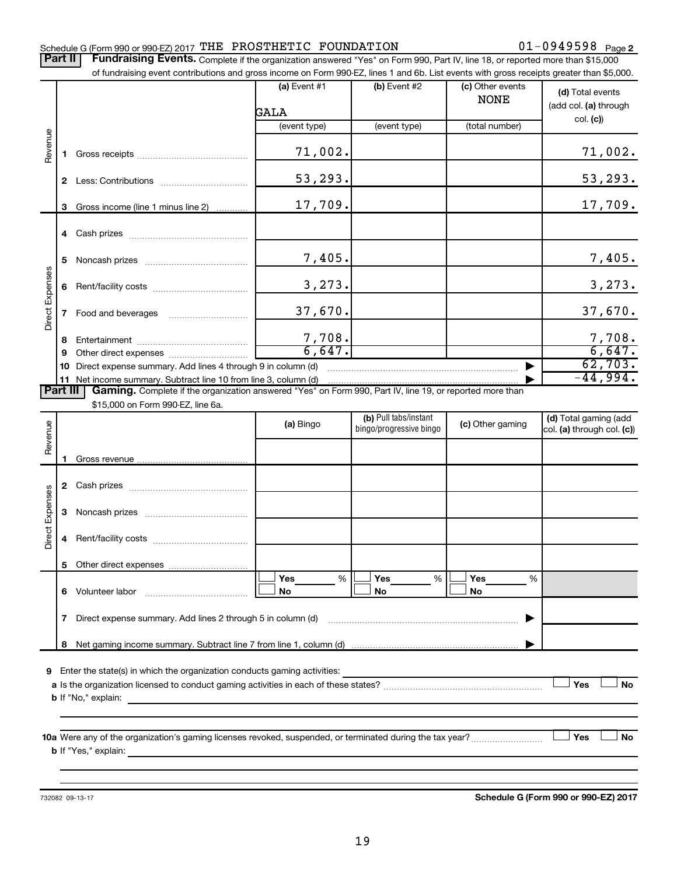### Schedule G (Form 990 or 990-EZ) 2017  $\texttt{THE PROSTATETIC}$   $\texttt{FOUNDATION} \hspace{2.8cm} 01-0949598$   $\texttt{Page}$

01-0949598 Page 2

Part II | Fundraising Events. Complete if the organization answered "Yes" on Form 990, Part IV, line 18, or reported more than \$15,000 of fundraising event contributions and gross income on Form 990-EZ, lines 1 and 6b. List events with gross receipts greater than \$5,000.

|                 |                       | OFfundralsing event contributions and gross income on Form 990-EZ, lines T and 6D. Elst events with gross receipts greater than \$5,000. |                        |                                                  |                                 |                                                     |
|-----------------|-----------------------|------------------------------------------------------------------------------------------------------------------------------------------|------------------------|--------------------------------------------------|---------------------------------|-----------------------------------------------------|
|                 |                       |                                                                                                                                          | $(a)$ Event #1<br>GALA | $(b)$ Event #2                                   | (c) Other events<br><b>NONE</b> | (d) Total events<br>(add col. (a) through           |
|                 |                       |                                                                                                                                          | (event type)           | (event type)                                     | (total number)                  | col. (c)                                            |
|                 |                       |                                                                                                                                          |                        |                                                  |                                 |                                                     |
| Revenue         | 1                     |                                                                                                                                          | 71,002.                |                                                  |                                 | 71,002.                                             |
|                 |                       |                                                                                                                                          | 53,293.                |                                                  |                                 | 53, 293.                                            |
|                 | 3                     | Gross income (line 1 minus line 2)                                                                                                       | 17,709.                |                                                  |                                 | 17,709.                                             |
|                 |                       |                                                                                                                                          |                        |                                                  |                                 |                                                     |
|                 | 5                     |                                                                                                                                          | 7,405.                 |                                                  |                                 | 7,405.                                              |
| Direct Expenses | 6                     |                                                                                                                                          | 3,273.                 |                                                  |                                 | 3,273.                                              |
|                 | 7                     |                                                                                                                                          | 37,670.                |                                                  |                                 | 37,670.                                             |
|                 | 8                     |                                                                                                                                          | 7,708.                 |                                                  |                                 | $\frac{7,708}{6,647}$                               |
|                 | 9                     |                                                                                                                                          | 6,647.                 |                                                  |                                 |                                                     |
|                 | 10                    | Direct expense summary. Add lines 4 through 9 in column (d)                                                                              |                        |                                                  |                                 | 62,703.<br>$-44,994.$                               |
|                 | 11<br><b>Part III</b> | Gaming. Complete if the organization answered "Yes" on Form 990, Part IV, line 19, or reported more than                                 |                        |                                                  |                                 |                                                     |
|                 |                       | \$15,000 on Form 990-EZ, line 6a.                                                                                                        |                        |                                                  |                                 |                                                     |
| Revenue         |                       |                                                                                                                                          | (a) Bingo              | (b) Pull tabs/instant<br>bingo/progressive bingo | (c) Other gaming                | (d) Total gaming (add<br>col. (a) through col. (c)) |
|                 |                       |                                                                                                                                          |                        |                                                  |                                 |                                                     |
|                 |                       |                                                                                                                                          |                        |                                                  |                                 |                                                     |
| Direct Expenses | 3                     |                                                                                                                                          |                        |                                                  |                                 |                                                     |
|                 |                       |                                                                                                                                          |                        |                                                  |                                 |                                                     |

**a** Is the organization licensed to conduct gaming activities in each of these states? ~~~~~~~~~~~~~~~~~~~~ **b** If "No," explain:

**6** Volunteer labor

Other direct expenses

**10 a Yes No** Were any of the organization's gaming licenses revoked, suspended, or terminated during the tax year? ~~~~~~~~~ † † **b** If "Yes," explain:

**7** Direct expense summary. Add lines 2 through 5 in column (d) ~~~~~~~~~~~~~~~~~~~~~~~~ |

**8** Net gaming income summary. Subtract line 7 from line 1, column (d)

**9** Enter the state(s) in which the organization conducts gaming activities:

Volunteer labor ~~~~~~~~~~~~~

732082 09-13-17

**5**

**Schedule G (Form 990 or 990-EZ) 2017**

 $\Box$  Yes  $\Box$  No

**Yes Yes Yes No No No**

 $|\Box$  Yes  $\qquad \%$   $|\Box$  Yes  $\qquad \%$   $|\Box$  $|\Box$  No  $|\Box$  No  $|\Box$ 

% % %

|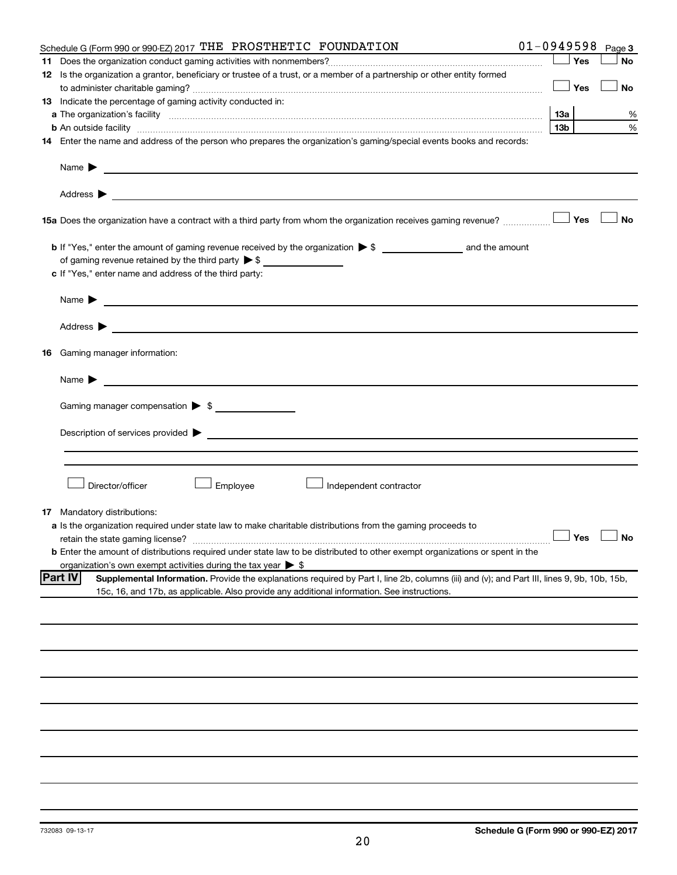| Schedule G (Form 990 or 990-EZ) 2017 THE PROSTHETIC FOUNDATION                                                                                                                                                                      |                 |     | $01 - 0949598$ Page 3 |
|-------------------------------------------------------------------------------------------------------------------------------------------------------------------------------------------------------------------------------------|-----------------|-----|-----------------------|
|                                                                                                                                                                                                                                     |                 | Yes | <b>No</b>             |
| 12 Is the organization a grantor, beneficiary or trustee of a trust, or a member of a partnership or other entity formed                                                                                                            |                 |     |                       |
|                                                                                                                                                                                                                                     |                 | Yes | No                    |
| 13 Indicate the percentage of gaming activity conducted in:                                                                                                                                                                         |                 |     |                       |
| a The organization's facility <i>measurement assemble to the companion of the companisation</i> in the state of the companion of the companion of the companion of the companion of the companion of the companion of the companion |                 |     | %                     |
| <b>b</b> An outside facility <i>www.communicality.communicality.communicality www.communicality.communicality.communicality.com</i>                                                                                                 | 13 <sub>b</sub> |     | %                     |
| 14 Enter the name and address of the person who prepares the organization's gaming/special events books and records:                                                                                                                |                 |     |                       |
|                                                                                                                                                                                                                                     |                 |     |                       |
|                                                                                                                                                                                                                                     |                 |     |                       |
| 15a Does the organization have a contract with a third party from whom the organization receives gaming revenue?                                                                                                                    |                 | Yes | <b>No</b>             |
|                                                                                                                                                                                                                                     |                 |     |                       |
| of gaming revenue retained by the third party $\triangleright$ \$                                                                                                                                                                   |                 |     |                       |
| c If "Yes," enter name and address of the third party:                                                                                                                                                                              |                 |     |                       |
|                                                                                                                                                                                                                                     |                 |     |                       |
| Name $\blacktriangleright$                                                                                                                                                                                                          |                 |     |                       |
|                                                                                                                                                                                                                                     |                 |     |                       |
|                                                                                                                                                                                                                                     |                 |     |                       |
| <b>16</b> Gaming manager information:                                                                                                                                                                                               |                 |     |                       |
| Name $\triangleright$                                                                                                                                                                                                               |                 |     |                       |
| Gaming manager compensation > \$                                                                                                                                                                                                    |                 |     |                       |
|                                                                                                                                                                                                                                     |                 |     |                       |
|                                                                                                                                                                                                                                     |                 |     |                       |
| Director/officer<br>Employee<br>Independent contractor                                                                                                                                                                              |                 |     |                       |
|                                                                                                                                                                                                                                     |                 |     |                       |
| <b>17</b> Mandatory distributions:<br>a Is the organization required under state law to make charitable distributions from the gaming proceeds to                                                                                   |                 |     |                       |
|                                                                                                                                                                                                                                     |                 |     | $\Box$ Yes $\Box$ No  |
| <b>b</b> Enter the amount of distributions required under state law to be distributed to other exempt organizations or spent in the                                                                                                 |                 |     |                       |
| organization's own exempt activities during the tax year $\triangleright$ \$                                                                                                                                                        |                 |     |                       |
| <b>Part IV</b><br>Supplemental Information. Provide the explanations required by Part I, line 2b, columns (iii) and (v); and Part III, lines 9, 9b, 10b, 15b,                                                                       |                 |     |                       |
| 15c, 16, and 17b, as applicable. Also provide any additional information. See instructions.                                                                                                                                         |                 |     |                       |
|                                                                                                                                                                                                                                     |                 |     |                       |
|                                                                                                                                                                                                                                     |                 |     |                       |
|                                                                                                                                                                                                                                     |                 |     |                       |
|                                                                                                                                                                                                                                     |                 |     |                       |
|                                                                                                                                                                                                                                     |                 |     |                       |
|                                                                                                                                                                                                                                     |                 |     |                       |
|                                                                                                                                                                                                                                     |                 |     |                       |
|                                                                                                                                                                                                                                     |                 |     |                       |
|                                                                                                                                                                                                                                     |                 |     |                       |
|                                                                                                                                                                                                                                     |                 |     |                       |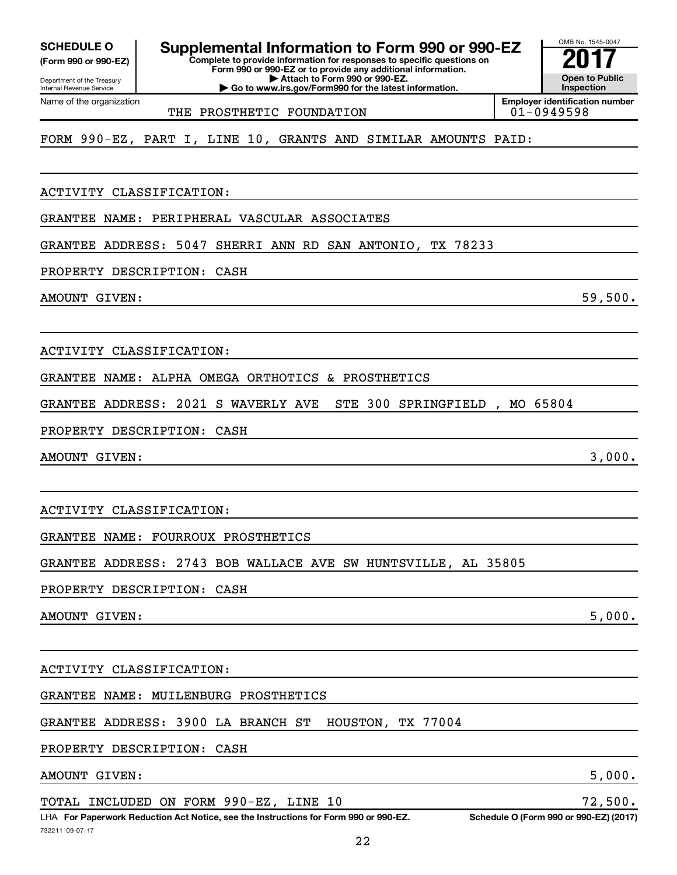**(Form 990 or 990-EZ)**

Department of the Treasury Internal Revenue Service Name of the organization

**Complete to provide information for responses to specific questions on SCHEDULE O Supplemental Information to Form 990 or 990-EZ 2017**<br>(Form 990 or 990-EZ) Complete to provide information for responses to specific questions on

**Form 990 or 990-EZ or to provide any additional information. | Attach to Form 990 or 990-EZ. | Go to www.irs.gov/Form990 for the latest information.**

**Open to Public Inspection Employer identification number**

OMB No. 1545-0047

THE PROSTHETIC FOUNDATION THE  $01-0949598$ 

FORM 990-EZ, PART I, LINE 10, GRANTS AND SIMILAR AMOUNTS PAID:

ACTIVITY CLASSIFICATION:

GRANTEE NAME: PERIPHERAL VASCULAR ASSOCIATES

GRANTEE ADDRESS: 5047 SHERRI ANN RD SAN ANTONIO, TX 78233

PROPERTY DESCRIPTION: CASH

AMOUNT GIVEN: 59,500.

ACTIVITY CLASSIFICATION:

GRANTEE NAME: ALPHA OMEGA ORTHOTICS & PROSTHETICS

GRANTEE ADDRESS: 2021 S WAVERLY AVE STE 300 SPRINGFIELD , MO 65804

PROPERTY DESCRIPTION: CASH

AMOUNT GIVEN: 3,000.

ACTIVITY CLASSIFICATION:

GRANTEE NAME: FOURROUX PROSTHETICS

GRANTEE ADDRESS: 2743 BOB WALLACE AVE SW HUNTSVILLE, AL 35805

PROPERTY DESCRIPTION: CASH

AMOUNT GIVEN: 5,000.

ACTIVITY CLASSIFICATION:

GRANTEE NAME: MUILENBURG PROSTHETICS

GRANTEE ADDRESS: 3900 LA BRANCH ST HOUSTON, TX 77004

PROPERTY DESCRIPTION: CASH

AMOUNT GIVEN: 5,000.

TOTAL INCLUDED ON FORM 990-EZ, LINE 10 72,500.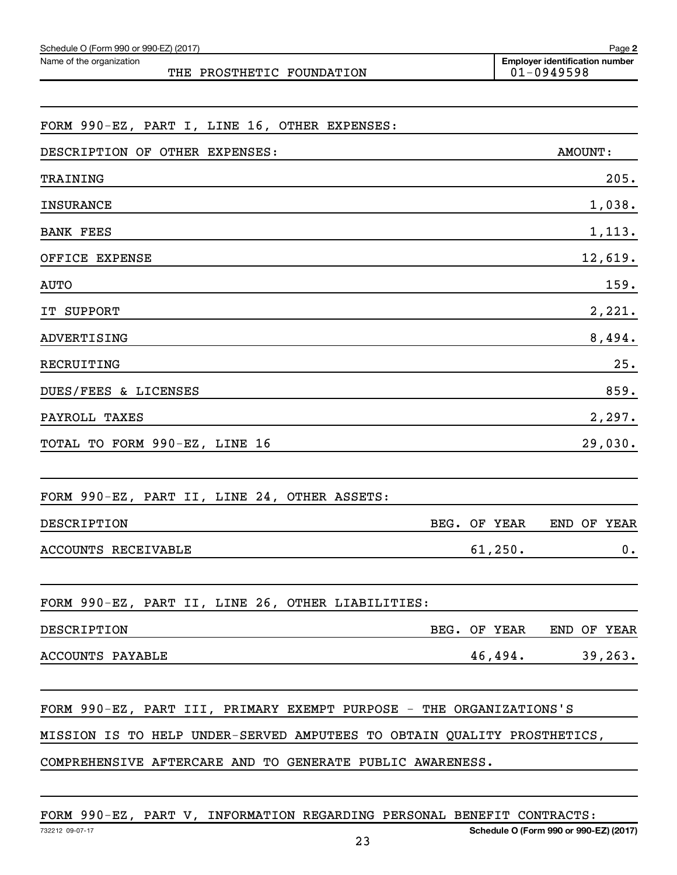| FORM 990-EZ, PART I, LINE 16, OTHER EXPENSES:                           |              |                |               |
|-------------------------------------------------------------------------|--------------|----------------|---------------|
| DESCRIPTION OF OTHER EXPENSES:                                          |              | <b>AMOUNT:</b> |               |
| TRAINING                                                                |              |                | 205.          |
| <b>INSURANCE</b>                                                        |              |                | 1,038.        |
| <b>BANK FEES</b>                                                        |              |                | 1,113.        |
| OFFICE EXPENSE                                                          |              |                | 12,619.       |
| AUTO                                                                    |              |                | 159.          |
| IT SUPPORT                                                              |              |                | 2,221.        |
| ADVERTISING                                                             |              |                | 8,494.        |
| RECRUITING                                                              |              |                | 25.           |
| DUES/FEES & LICENSES                                                    |              |                | 859.          |
| PAYROLL TAXES                                                           |              |                | 2,297.        |
| TOTAL TO FORM 990-EZ, LINE 16                                           |              |                | 29,030.       |
|                                                                         |              |                |               |
| FORM 990-EZ, PART II, LINE 24, OTHER ASSETS:                            |              |                |               |
| DESCRIPTION                                                             | BEG. OF YEAR | END OF YEAR    |               |
| ACCOUNTS RECEIVABLE                                                     | 61,250.      |                | $\mathbf 0$ . |
|                                                                         |              |                |               |
| FORM 990-EZ, PART II, LINE 26, OTHER LIABILITIES:                       |              |                |               |
| DESCRIPTION<br>BEG. OF YEAR                                             |              | END OF YEAR    |               |
| ACCOUNTS PAYABLE                                                        | 46,494.      |                | 39, 263.      |
|                                                                         |              |                |               |
| FORM 990-EZ, PART III, PRIMARY EXEMPT PURPOSE - THE ORGANIZATIONS'S     |              |                |               |
| MISSION IS TO HELP UNDER-SERVED AMPUTEES TO OBTAIN QUALITY PROSTHETICS, |              |                |               |
| COMPREHENSIVE AFTERCARE AND TO GENERATE PUBLIC AWARENESS.               |              |                |               |

FORM 990-EZ, PART V, INFORMATION REGARDING PERSONAL BENEFIT CONTRACTS:

Name of the organization

THE PROSTHETIC FOUNDATION

**Employer identification number**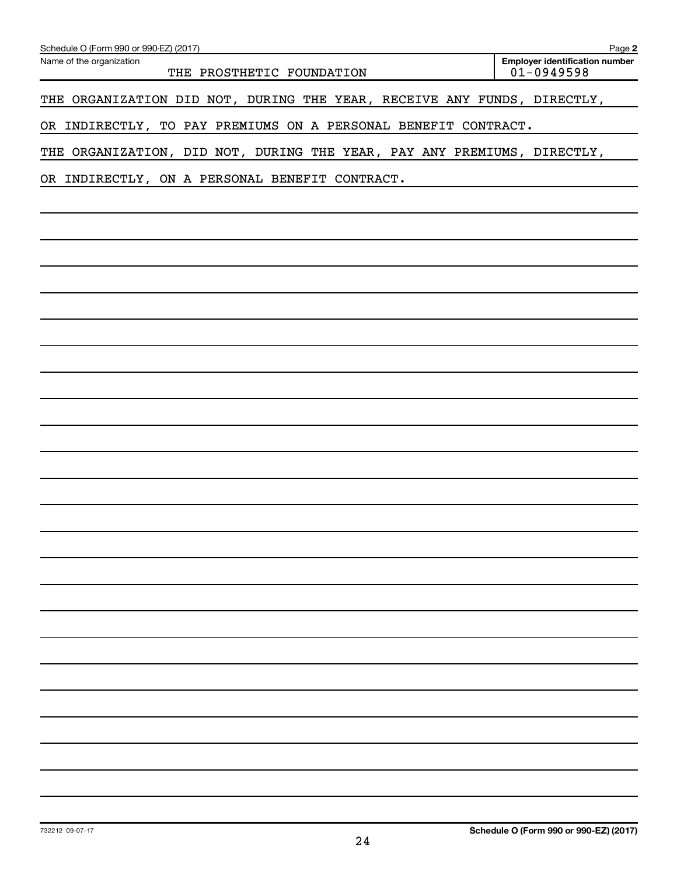| Schedule O (Form 990 or 990-EZ) (2017)                                  | Page 2                                                  |
|-------------------------------------------------------------------------|---------------------------------------------------------|
| Name of the organization<br>THE PROSTHETIC FOUNDATION                   | <b>Employer identification number</b><br>$01 - 0949598$ |
| THE ORGANIZATION DID NOT, DURING THE YEAR, RECEIVE ANY FUNDS, DIRECTLY, |                                                         |
| OR INDIRECTLY, TO PAY PREMIUMS ON A PERSONAL BENEFIT CONTRACT.          |                                                         |
| THE ORGANIZATION, DID NOT, DURING THE YEAR, PAY ANY PREMIUMS, DIRECTLY, |                                                         |
| OR INDIRECTLY, ON A PERSONAL BENEFIT CONTRACT.                          |                                                         |
|                                                                         |                                                         |
|                                                                         |                                                         |
|                                                                         |                                                         |
|                                                                         |                                                         |
|                                                                         |                                                         |
|                                                                         |                                                         |
|                                                                         |                                                         |
|                                                                         |                                                         |
|                                                                         |                                                         |
|                                                                         |                                                         |
|                                                                         |                                                         |
|                                                                         |                                                         |
|                                                                         |                                                         |
|                                                                         |                                                         |
|                                                                         |                                                         |
|                                                                         |                                                         |
|                                                                         |                                                         |
|                                                                         |                                                         |
|                                                                         |                                                         |
|                                                                         |                                                         |
|                                                                         |                                                         |
|                                                                         |                                                         |
|                                                                         |                                                         |